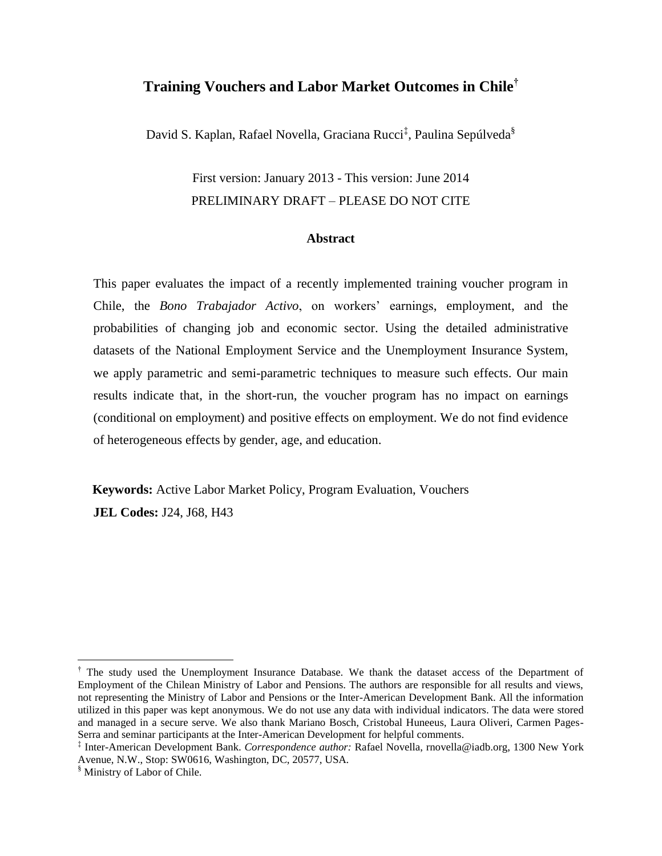## **Training Vouchers and Labor Market Outcomes in Chile†**

David S. Kaplan, Rafael Novella, Graciana Rucci<sup>‡</sup>, Paulina Sepúlveda<sup>§</sup>

# First version: January 2013 - This version: June 2014 PRELIMINARY DRAFT – PLEASE DO NOT CITE

#### **Abstract**

This paper evaluates the impact of a recently implemented training voucher program in Chile, the *Bono Trabajador Activo*, on workers' earnings, employment, and the probabilities of changing job and economic sector. Using the detailed administrative datasets of the National Employment Service and the Unemployment Insurance System, we apply parametric and semi-parametric techniques to measure such effects. Our main results indicate that, in the short-run, the voucher program has no impact on earnings (conditional on employment) and positive effects on employment. We do not find evidence of heterogeneous effects by gender, age, and education.

**Keywords:** Active Labor Market Policy, Program Evaluation, Vouchers **JEL Codes:** J24, J68, H43

<sup>†</sup> The study used the Unemployment Insurance Database. We thank the dataset access of the Department of Employment of the Chilean Ministry of Labor and Pensions. The authors are responsible for all results and views, not representing the Ministry of Labor and Pensions or the Inter-American Development Bank. All the information utilized in this paper was kept anonymous. We do not use any data with individual indicators. The data were stored and managed in a secure serve. We also thank Mariano Bosch, Cristobal Huneeus, Laura Oliveri, Carmen Pages-Serra and seminar participants at the Inter-American Development for helpful comments.

<sup>‡</sup> Inter-American Development Bank. *Correspondence author:* Rafael Novella, [rnovella@iadb.org,](mailto:rnovella@iadb.org) 1300 New York Avenue, N.W., Stop: SW0616, Washington, DC, 20577, USA.

<sup>§</sup> Ministry of Labor of Chile.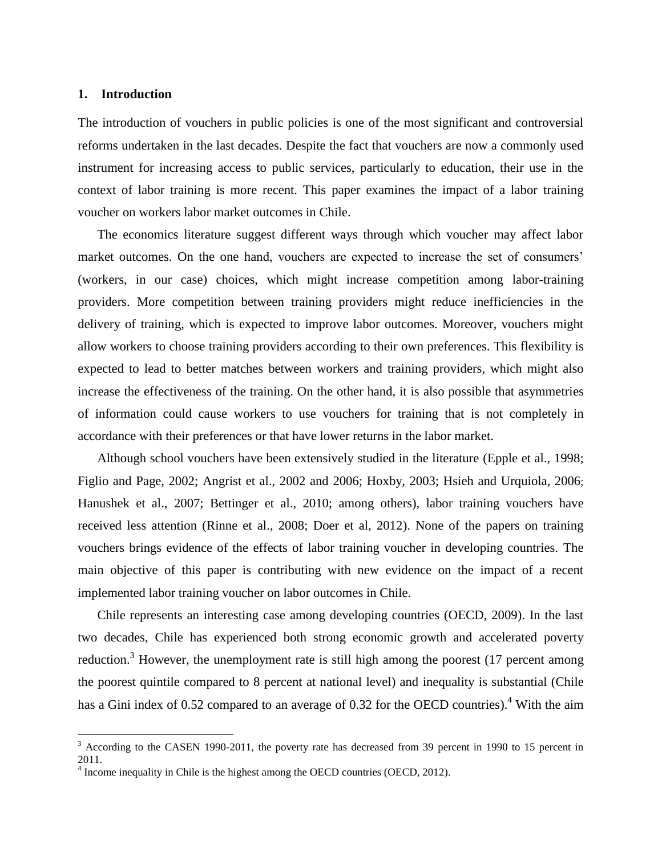#### **1. Introduction**

 $\overline{a}$ 

The introduction of vouchers in public policies is one of the most significant and controversial reforms undertaken in the last decades. Despite the fact that vouchers are now a commonly used instrument for increasing access to public services, particularly to education, their use in the context of labor training is more recent. This paper examines the impact of a labor training voucher on workers labor market outcomes in Chile.

The economics literature suggest different ways through which voucher may affect labor market outcomes. On the one hand, vouchers are expected to increase the set of consumers' (workers, in our case) choices, which might increase competition among labor-training providers. More competition between training providers might reduce inefficiencies in the delivery of training, which is expected to improve labor outcomes. Moreover, vouchers might allow workers to choose training providers according to their own preferences. This flexibility is expected to lead to better matches between workers and training providers, which might also increase the effectiveness of the training. On the other hand, it is also possible that asymmetries of information could cause workers to use vouchers for training that is not completely in accordance with their preferences or that have lower returns in the labor market.

Although school vouchers have been extensively studied in the literature (Epple et al., 1998; Figlio and Page, 2002; Angrist et al., 2002 and 2006; Hoxby, 2003; Hsieh and Urquiola, 2006; Hanushek et al., 2007; Bettinger et al., 2010; among others), labor training vouchers have received less attention (Rinne et al., 2008; Doer et al, 2012). None of the papers on training vouchers brings evidence of the effects of labor training voucher in developing countries. The main objective of this paper is contributing with new evidence on the impact of a recent implemented labor training voucher on labor outcomes in Chile.

Chile represents an interesting case among developing countries (OECD, 2009). In the last two decades, Chile has experienced both strong economic growth and accelerated poverty reduction.<sup>3</sup> However, the unemployment rate is still high among the poorest  $(17)$  percent among the poorest quintile compared to 8 percent at national level) and inequality is substantial (Chile has a Gini index of 0.52 compared to an average of 0.32 for the OECD countries).<sup>4</sup> With the aim

 $3$  According to the CASEN 1990-2011, the poverty rate has decreased from 39 percent in 1990 to 15 percent in 2011.

 $4$  Income inequality in Chile is the highest among the OECD countries (OECD, 2012).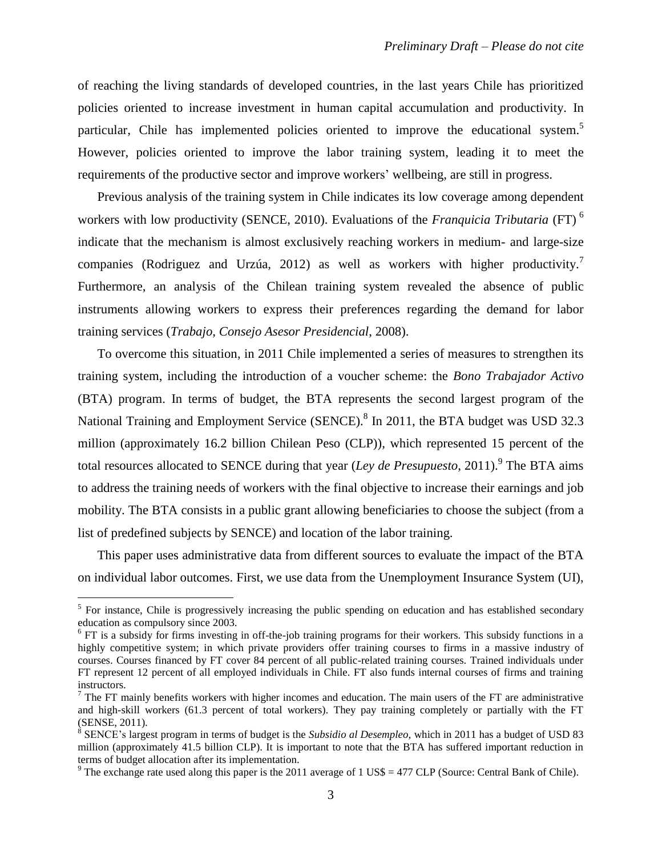of reaching the living standards of developed countries, in the last years Chile has prioritized policies oriented to increase investment in human capital accumulation and productivity. In particular, Chile has implemented policies oriented to improve the educational system.<sup>5</sup> However, policies oriented to improve the labor training system, leading it to meet the requirements of the productive sector and improve workers' wellbeing, are still in progress.

Previous analysis of the training system in Chile indicates its low coverage among dependent workers with low productivity (SENCE, 2010). Evaluations of the *Franquicia Tributaria* (FT) <sup>6</sup> indicate that the mechanism is almost exclusively reaching workers in medium- and large-size companies (Rodriguez and Urzúa, 2012) as well as workers with higher productivity.<sup>7</sup> Furthermore, an analysis of the Chilean training system revealed the absence of public instruments allowing workers to express their preferences regarding the demand for labor training services (*Trabajo, Consejo Asesor Presidencial*, 2008).

To overcome this situation, in 2011 Chile implemented a series of measures to strengthen its training system, including the introduction of a voucher scheme: the *Bono Trabajador Activo* (BTA) program. In terms of budget, the BTA represents the second largest program of the National Training and Employment Service (SENCE).<sup>8</sup> In 2011, the BTA budget was USD 32.3 million (approximately 16.2 billion Chilean Peso (CLP)), which represented 15 percent of the total resources allocated to SENCE during that year (*Ley de Presupuesto*, 2011).<sup>9</sup> The BTA aims to address the training needs of workers with the final objective to increase their earnings and job mobility. The BTA consists in a public grant allowing beneficiaries to choose the subject (from a list of predefined subjects by SENCE) and location of the labor training.

This paper uses administrative data from different sources to evaluate the impact of the BTA on individual labor outcomes. First, we use data from the Unemployment Insurance System (UI),

<sup>&</sup>lt;sup>5</sup> For instance, Chile is progressively increasing the public spending on education and has established secondary education as compulsory since 2003.

 $6$  FT is a subsidy for firms investing in off-the-job training programs for their workers. This subsidy functions in a highly competitive system; in which private providers offer training courses to firms in a massive industry of courses. Courses financed by FT cover 84 percent of all public-related training courses. Trained individuals under FT represent 12 percent of all employed individuals in Chile. FT also funds internal courses of firms and training instructors.

 $<sup>7</sup>$  The FT mainly benefits workers with higher incomes and education. The main users of the FT are administrative</sup> and high-skill workers (61.3 percent of total workers). They pay training completely or partially with the FT (SENSE, 2011).

<sup>8</sup> SENCE's largest program in terms of budget is the *Subsidio al Desempleo,* which in 2011 has a budget of USD 83 million (approximately 41.5 billion CLP). It is important to note that the BTA has suffered important reduction in terms of budget allocation after its implementation.

<sup>&</sup>lt;sup>9</sup> The exchange rate used along this paper is the 2011 average of 1 US\$ = 477 CLP (Source: Central Bank of Chile).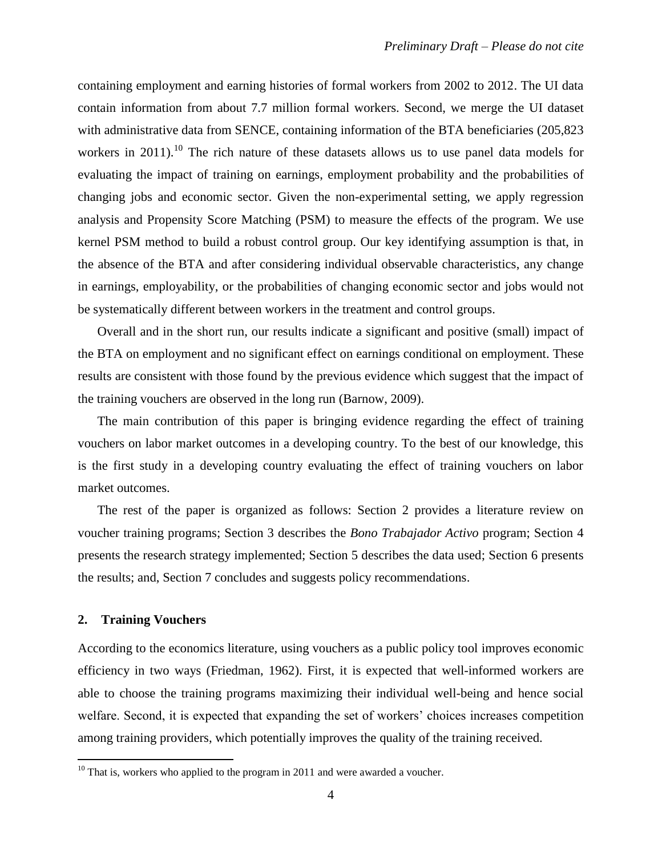containing employment and earning histories of formal workers from 2002 to 2012. The UI data contain information from about 7.7 million formal workers. Second, we merge the UI dataset with administrative data from SENCE, containing information of the BTA beneficiaries (205,823) workers in 2011).<sup>10</sup> The rich nature of these datasets allows us to use panel data models for evaluating the impact of training on earnings, employment probability and the probabilities of changing jobs and economic sector. Given the non-experimental setting, we apply regression analysis and Propensity Score Matching (PSM) to measure the effects of the program. We use kernel PSM method to build a robust control group. Our key identifying assumption is that, in the absence of the BTA and after considering individual observable characteristics, any change in earnings, employability, or the probabilities of changing economic sector and jobs would not be systematically different between workers in the treatment and control groups.

Overall and in the short run, our results indicate a significant and positive (small) impact of the BTA on employment and no significant effect on earnings conditional on employment. These results are consistent with those found by the previous evidence which suggest that the impact of the training vouchers are observed in the long run (Barnow, 2009).

The main contribution of this paper is bringing evidence regarding the effect of training vouchers on labor market outcomes in a developing country. To the best of our knowledge, this is the first study in a developing country evaluating the effect of training vouchers on labor market outcomes.

The rest of the paper is organized as follows: Section 2 provides a literature review on voucher training programs; Section 3 describes the *Bono Trabajador Activo* program; Section 4 presents the research strategy implemented; Section 5 describes the data used; Section 6 presents the results; and, Section 7 concludes and suggests policy recommendations.

#### **2. Training Vouchers**

 $\overline{a}$ 

According to the economics literature, using vouchers as a public policy tool improves economic efficiency in two ways (Friedman, 1962). First, it is expected that well-informed workers are able to choose the training programs maximizing their individual well-being and hence social welfare. Second, it is expected that expanding the set of workers' choices increases competition among training providers, which potentially improves the quality of the training received.

 $10$  That is, workers who applied to the program in 2011 and were awarded a voucher.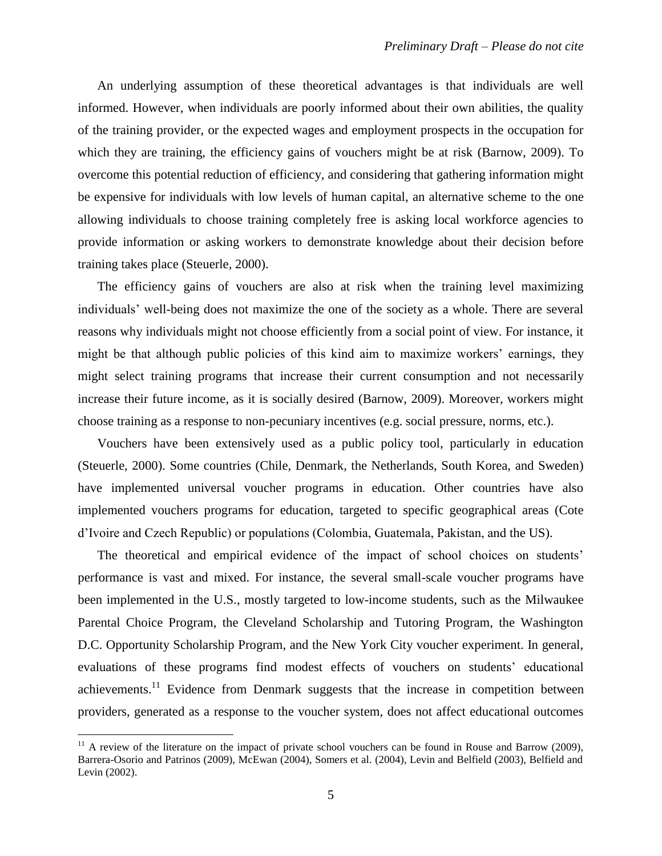An underlying assumption of these theoretical advantages is that individuals are well informed. However, when individuals are poorly informed about their own abilities, the quality of the training provider, or the expected wages and employment prospects in the occupation for which they are training, the efficiency gains of vouchers might be at risk (Barnow, 2009). To overcome this potential reduction of efficiency, and considering that gathering information might be expensive for individuals with low levels of human capital, an alternative scheme to the one allowing individuals to choose training completely free is asking local workforce agencies to provide information or asking workers to demonstrate knowledge about their decision before training takes place (Steuerle, 2000).

The efficiency gains of vouchers are also at risk when the training level maximizing individuals' well-being does not maximize the one of the society as a whole. There are several reasons why individuals might not choose efficiently from a social point of view. For instance, it might be that although public policies of this kind aim to maximize workers' earnings, they might select training programs that increase their current consumption and not necessarily increase their future income, as it is socially desired (Barnow, 2009). Moreover, workers might choose training as a response to non-pecuniary incentives (e.g. social pressure, norms, etc.).

Vouchers have been extensively used as a public policy tool, particularly in education (Steuerle, 2000). Some countries (Chile, Denmark, the Netherlands, South Korea, and Sweden) have implemented universal voucher programs in education. Other countries have also implemented vouchers programs for education, targeted to specific geographical areas (Cote d'Ivoire and Czech Republic) or populations (Colombia, Guatemala, Pakistan, and the US).

The theoretical and empirical evidence of the impact of school choices on students' performance is vast and mixed. For instance, the several small-scale voucher programs have been implemented in the U.S., mostly targeted to low-income students, such as the Milwaukee Parental Choice Program, the Cleveland Scholarship and Tutoring Program, the Washington D.C. Opportunity Scholarship Program, and the New York City voucher experiment. In general, evaluations of these programs find modest effects of vouchers on students' educational achievements.<sup>11</sup> Evidence from Denmark suggests that the increase in competition between providers, generated as a response to the voucher system, does not affect educational outcomes

 $11$  A review of the literature on the impact of private school vouchers can be found in Rouse and Barrow (2009), Barrera-Osorio and Patrinos (2009), McEwan (2004), Somers et al. (2004), Levin and Belfield (2003), Belfield and Levin (2002).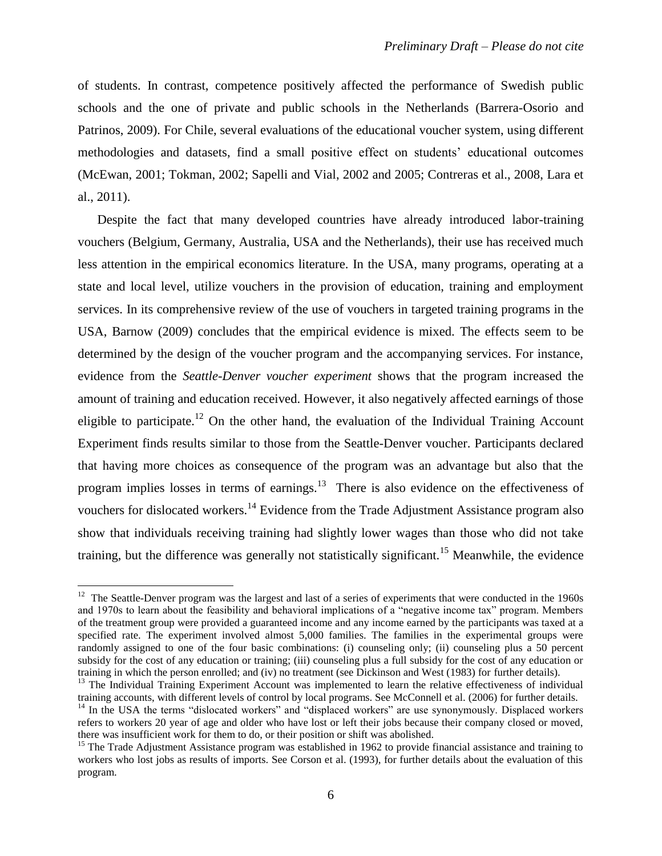of students. In contrast, competence positively affected the performance of Swedish public schools and the one of private and public schools in the Netherlands (Barrera-Osorio and Patrinos, 2009). For Chile, several evaluations of the educational voucher system, using different methodologies and datasets, find a small positive effect on students' educational outcomes (McEwan, 2001; Tokman, 2002; Sapelli and Vial, 2002 and 2005; Contreras et al., 2008, Lara et al., 2011).

Despite the fact that many developed countries have already introduced labor-training vouchers (Belgium, Germany, Australia, USA and the Netherlands), their use has received much less attention in the empirical economics literature. In the USA, many programs, operating at a state and local level, utilize vouchers in the provision of education, training and employment services. In its comprehensive review of the use of vouchers in targeted training programs in the USA, Barnow (2009) concludes that the empirical evidence is mixed. The effects seem to be determined by the design of the voucher program and the accompanying services. For instance, evidence from the *Seattle-Denver voucher experiment* shows that the program increased the amount of training and education received. However, it also negatively affected earnings of those eligible to participate.<sup>12</sup> On the other hand, the evaluation of the Individual Training Account Experiment finds results similar to those from the Seattle-Denver voucher. Participants declared that having more choices as consequence of the program was an advantage but also that the program implies losses in terms of earnings.<sup>13</sup> There is also evidence on the effectiveness of vouchers for dislocated workers.<sup>14</sup> Evidence from the Trade Adjustment Assistance program also show that individuals receiving training had slightly lower wages than those who did not take training, but the difference was generally not statistically significant.<sup>15</sup> Meanwhile, the evidence

<sup>&</sup>lt;sup>12</sup> The Seattle-Denver program was the largest and last of a series of experiments that were conducted in the 1960s and 1970s to learn about the feasibility and behavioral implications of a "negative income tax" program. Members of the treatment group were provided a guaranteed income and any income earned by the participants was taxed at a specified rate. The experiment involved almost 5,000 families. The families in the experimental groups were randomly assigned to one of the four basic combinations: (i) counseling only; (ii) counseling plus a 50 percent subsidy for the cost of any education or training; (iii) counseling plus a full subsidy for the cost of any education or training in which the person enrolled; and (iv) no treatment (see Dickinson and West (1983) for further details).

<sup>&</sup>lt;sup>13</sup> The Individual Training Experiment Account was implemented to learn the relative effectiveness of individual training accounts, with different levels of control by local programs. See McConnell et al. (2006) for further details.

<sup>&</sup>lt;sup>14</sup> In the USA the terms "dislocated workers" and "displaced workers" are use synonymously. Displaced workers refers to workers 20 year of age and older who have lost or left their jobs because their company closed or moved, there was insufficient work for them to do, or their position or shift was abolished.

<sup>&</sup>lt;sup>15</sup> The Trade Adjustment Assistance program was established in 1962 to provide financial assistance and training to workers who lost jobs as results of imports. See Corson et al. (1993), for further details about the evaluation of this program.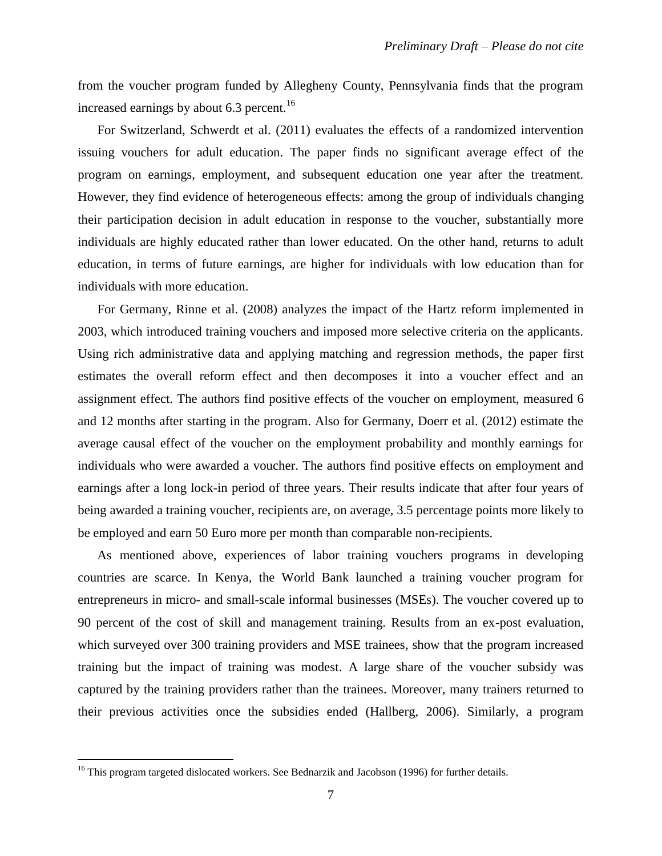from the voucher program funded by Allegheny County, Pennsylvania finds that the program increased earnings by about  $6.3$  percent.<sup>16</sup>

For Switzerland, Schwerdt et al. (2011) evaluates the effects of a randomized intervention issuing vouchers for adult education. The paper finds no significant average effect of the program on earnings, employment, and subsequent education one year after the treatment. However, they find evidence of heterogeneous effects: among the group of individuals changing their participation decision in adult education in response to the voucher, substantially more individuals are highly educated rather than lower educated. On the other hand, returns to adult education, in terms of future earnings, are higher for individuals with low education than for individuals with more education.

For Germany, Rinne et al. (2008) analyzes the impact of the Hartz reform implemented in 2003, which introduced training vouchers and imposed more selective criteria on the applicants. Using rich administrative data and applying matching and regression methods, the paper first estimates the overall reform effect and then decomposes it into a voucher effect and an assignment effect. The authors find positive effects of the voucher on employment, measured 6 and 12 months after starting in the program. Also for Germany, Doerr et al. (2012) estimate the average causal effect of the voucher on the employment probability and monthly earnings for individuals who were awarded a voucher. The authors find positive effects on employment and earnings after a long lock-in period of three years. Their results indicate that after four years of being awarded a training voucher, recipients are, on average, 3.5 percentage points more likely to be employed and earn 50 Euro more per month than comparable non-recipients.

As mentioned above, experiences of labor training vouchers programs in developing countries are scarce. In Kenya, the World Bank launched a training voucher program for entrepreneurs in micro- and small-scale informal businesses (MSEs). The voucher covered up to 90 percent of the cost of skill and management training. Results from an ex-post evaluation, which surveyed over 300 training providers and MSE trainees, show that the program increased training but the impact of training was modest. A large share of the voucher subsidy was captured by the training providers rather than the trainees. Moreover, many trainers returned to their previous activities once the subsidies ended (Hallberg, 2006). Similarly, a program

 $16$  This program targeted dislocated workers. See Bednarzik and Jacobson (1996) for further details.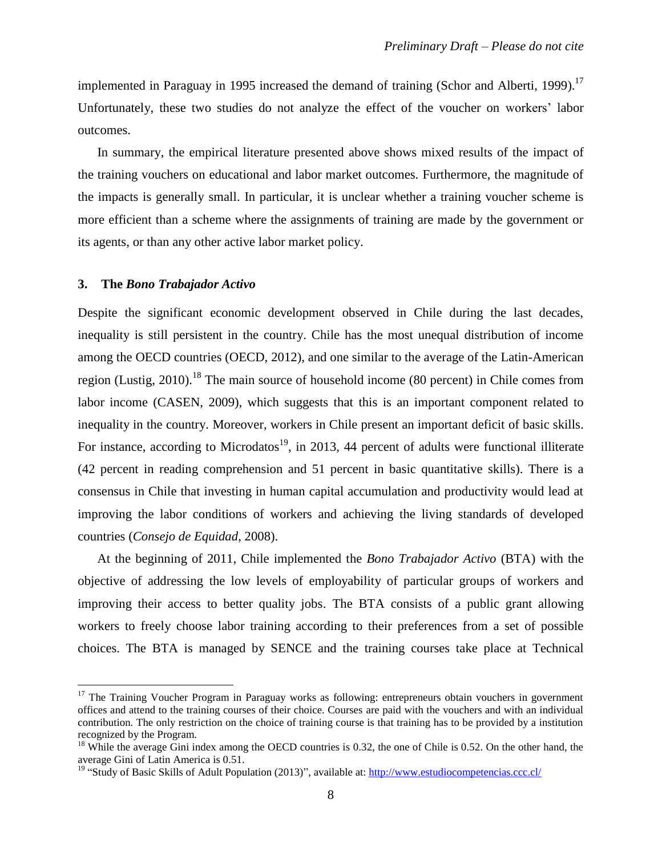implemented in Paraguay in 1995 increased the demand of training (Schor and Alberti, 1999).<sup>17</sup> Unfortunately, these two studies do not analyze the effect of the voucher on workers' labor outcomes.

In summary, the empirical literature presented above shows mixed results of the impact of the training vouchers on educational and labor market outcomes. Furthermore, the magnitude of the impacts is generally small. In particular, it is unclear whether a training voucher scheme is more efficient than a scheme where the assignments of training are made by the government or its agents, or than any other active labor market policy.

#### **3. The** *Bono Trabajador Activo*

 $\overline{a}$ 

Despite the significant economic development observed in Chile during the last decades, inequality is still persistent in the country. Chile has the most unequal distribution of income among the OECD countries (OECD, 2012), and one similar to the average of the Latin-American region (Lustig, 2010).<sup>18</sup> The main source of household income (80 percent) in Chile comes from labor income (CASEN, 2009), which suggests that this is an important component related to inequality in the country. Moreover, workers in Chile present an important deficit of basic skills. For instance, according to Microdatos<sup>19</sup>, in 2013, 44 percent of adults were functional illiterate (42 percent in reading comprehension and 51 percent in basic quantitative skills). There is a consensus in Chile that investing in human capital accumulation and productivity would lead at improving the labor conditions of workers and achieving the living standards of developed countries (*Consejo de Equidad*, 2008).

At the beginning of 2011, Chile implemented the *Bono Trabajador Activo* (BTA) with the objective of addressing the low levels of employability of particular groups of workers and improving their access to better quality jobs. The BTA consists of a public grant allowing workers to freely choose labor training according to their preferences from a set of possible choices. The BTA is managed by SENCE and the training courses take place at Technical

 $17$  The Training Voucher Program in Paraguay works as following: entrepreneurs obtain vouchers in government offices and attend to the training courses of their choice. Courses are paid with the vouchers and with an individual contribution. The only restriction on the choice of training course is that training has to be provided by a institution recognized by the Program.

 $18$  While the average Gini index among the OECD countries is 0.32, the one of Chile is 0.52. On the other hand, the average Gini of Latin America is 0.51.

<sup>&</sup>lt;sup>19</sup> "Study of Basic Skills of Adult Population (2013)", available at:<http://www.estudiocompetencias.ccc.cl/>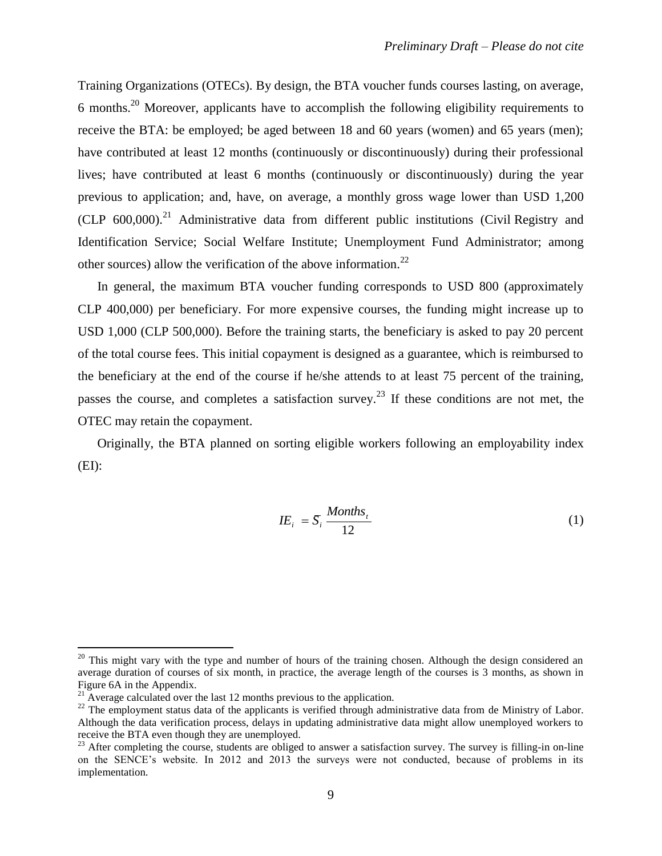Training Organizations (OTECs). By design, the BTA voucher funds courses lasting, on average, 6 months.<sup>20</sup> Moreover, applicants have to accomplish the following eligibility requirements to receive the BTA: be employed; be aged between 18 and 60 years (women) and 65 years (men); have contributed at least 12 months (continuously or discontinuously) during their professional lives; have contributed at least 6 months (continuously or discontinuously) during the year previous to application; and, have, on average, a monthly gross wage lower than USD 1,200  $(CLP 600,000).$ <sup>21</sup> Administrative data from different public institutions (Civil Registry and Identification Service; Social Welfare Institute; Unemployment Fund Administrator; among other sources) allow the verification of the above information.<sup>22</sup>

In general, the maximum BTA voucher funding corresponds to USD 800 (approximately CLP 400,000) per beneficiary. For more expensive courses, the funding might increase up to USD 1,000 (CLP 500,000). Before the training starts, the beneficiary is asked to pay 20 percent of the total course fees. This initial copayment is designed as a guarantee, which is reimbursed to the beneficiary at the end of the course if he/she attends to at least 75 percent of the training, passes the course, and completes a satisfaction survey.<sup>23</sup> If these conditions are not met, the OTEC may retain the copayment.

Originally, the BTA planned on sorting eligible workers following an employability index  $(EI):$ 

$$
IE_i = \overline{S}_i \frac{Monthly_i}{12} \tag{1}
$$

 $20$  This might vary with the type and number of hours of the training chosen. Although the design considered an average duration of courses of six month, in practice, the average length of the courses is 3 months, as shown in Figure 6A in the Appendix.

 $21$  Average calculated over the last 12 months previous to the application.

 $22$  The employment status data of the applicants is verified through administrative data from de Ministry of Labor. Although the data verification process, delays in updating administrative data might allow unemployed workers to receive the BTA even though they are unemployed.

<sup>&</sup>lt;sup>23</sup> After completing the course, students are obliged to answer a satisfaction survey. The survey is filling-in on-line on the SENCE's website. In 2012 and 2013 the surveys were not conducted, because of problems in its implementation.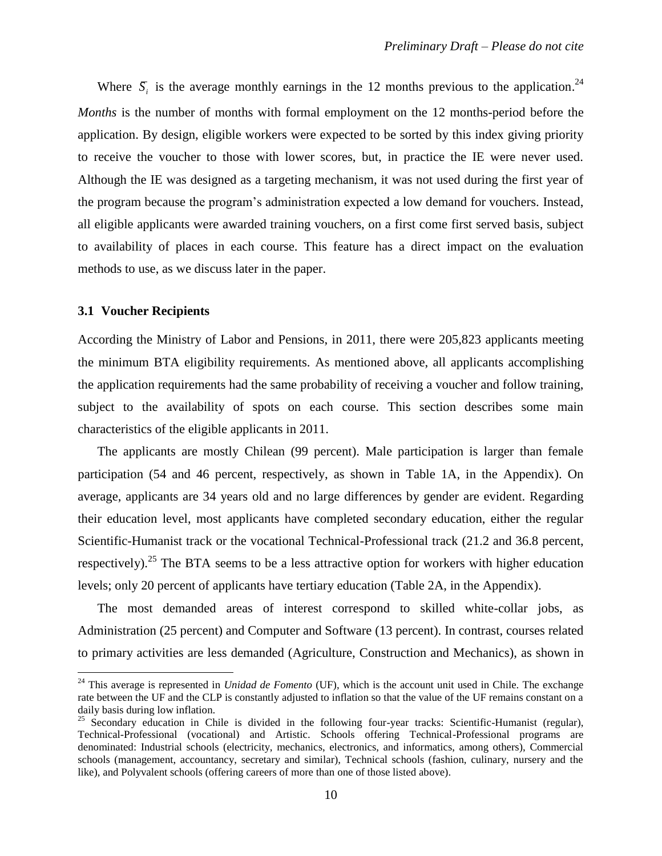Where  $\overline{S}_i$  is the average monthly earnings in the 12 months previous to the application.<sup>24</sup> *Months* is the number of months with formal employment on the 12 months-period before the application. By design, eligible workers were expected to be sorted by this index giving priority to receive the voucher to those with lower scores, but, in practice the IE were never used. Although the IE was designed as a targeting mechanism, it was not used during the first year of the program because the program's administration expected a low demand for vouchers. Instead, all eligible applicants were awarded training vouchers, on a first come first served basis, subject to availability of places in each course. This feature has a direct impact on the evaluation methods to use, as we discuss later in the paper.

#### **3.1 Voucher Recipients**

 $\overline{a}$ 

According the Ministry of Labor and Pensions, in 2011, there were 205,823 applicants meeting the minimum BTA eligibility requirements. As mentioned above, all applicants accomplishing the application requirements had the same probability of receiving a voucher and follow training, subject to the availability of spots on each course. This section describes some main characteristics of the eligible applicants in 2011.

The applicants are mostly Chilean (99 percent). Male participation is larger than female participation (54 and 46 percent, respectively, as shown in Table 1A, in the Appendix). On average, applicants are 34 years old and no large differences by gender are evident. Regarding their education level, most applicants have completed secondary education, either the regular Scientific-Humanist track or the vocational Technical-Professional track (21.2 and 36.8 percent, respectively).<sup>25</sup> The BTA seems to be a less attractive option for workers with higher education levels; only 20 percent of applicants have tertiary education (Table 2A, in the Appendix).

The most demanded areas of interest correspond to skilled white-collar jobs, as Administration (25 percent) and Computer and Software (13 percent). In contrast, courses related to primary activities are less demanded (Agriculture, Construction and Mechanics), as shown in

<sup>&</sup>lt;sup>24</sup> This average is represented in *Unidad de Fomento* (UF), which is the account unit used in Chile. The exchange rate between the UF and the CLP is constantly adjusted to inflation so that the value of the UF remains constant on a daily basis during low inflation.

<sup>&</sup>lt;sup>25</sup> Secondary education in Chile is divided in the following four-year tracks: Scientific-Humanist (regular), Technical-Professional (vocational) and Artistic. Schools offering Technical-Professional programs are denominated: Industrial schools (electricity, mechanics, electronics, and informatics, among others), Commercial schools (management, accountancy, secretary and similar), Technical schools (fashion, culinary, nursery and the like), and Polyvalent schools (offering careers of more than one of those listed above).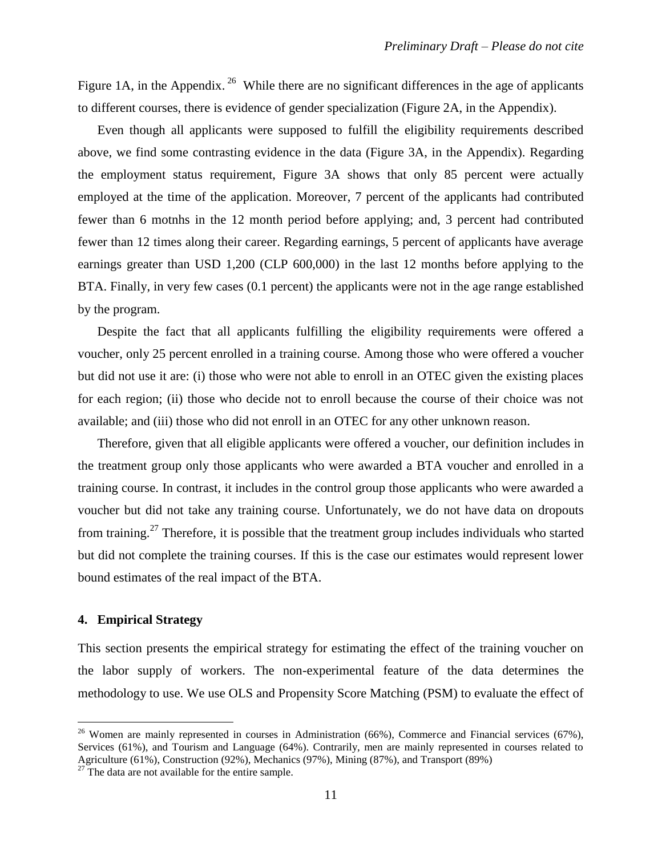Figure 1A, in the Appendix.<sup>26</sup> While there are no significant differences in the age of applicants to different courses, there is evidence of gender specialization (Figure 2A, in the Appendix).

Even though all applicants were supposed to fulfill the eligibility requirements described above, we find some contrasting evidence in the data (Figure 3A, in the Appendix). Regarding the employment status requirement, Figure 3A shows that only 85 percent were actually employed at the time of the application. Moreover, 7 percent of the applicants had contributed fewer than 6 motnhs in the 12 month period before applying; and, 3 percent had contributed fewer than 12 times along their career. Regarding earnings, 5 percent of applicants have average earnings greater than USD 1,200 (CLP 600,000) in the last 12 months before applying to the BTA. Finally, in very few cases (0.1 percent) the applicants were not in the age range established by the program.

Despite the fact that all applicants fulfilling the eligibility requirements were offered a voucher, only 25 percent enrolled in a training course. Among those who were offered a voucher but did not use it are: (i) those who were not able to enroll in an OTEC given the existing places for each region; (ii) those who decide not to enroll because the course of their choice was not available; and (iii) those who did not enroll in an OTEC for any other unknown reason.

Therefore, given that all eligible applicants were offered a voucher, our definition includes in the treatment group only those applicants who were awarded a BTA voucher and enrolled in a training course. In contrast, it includes in the control group those applicants who were awarded a voucher but did not take any training course. Unfortunately, we do not have data on dropouts from training.<sup>27</sup> Therefore, it is possible that the treatment group includes individuals who started but did not complete the training courses. If this is the case our estimates would represent lower bound estimates of the real impact of the BTA.

#### **4. Empirical Strategy**

 $\overline{a}$ 

This section presents the empirical strategy for estimating the effect of the training voucher on the labor supply of workers. The non-experimental feature of the data determines the methodology to use. We use OLS and Propensity Score Matching (PSM) to evaluate the effect of

<sup>&</sup>lt;sup>26</sup> Women are mainly represented in courses in Administration (66%), Commerce and Financial services (67%), Services (61%), and Tourism and Language (64%). Contrarily, men are mainly represented in courses related to Agriculture (61%), Construction (92%), Mechanics (97%), Mining (87%), and Transport (89%)

 $27$ <sup>27</sup> The data are not available for the entire sample.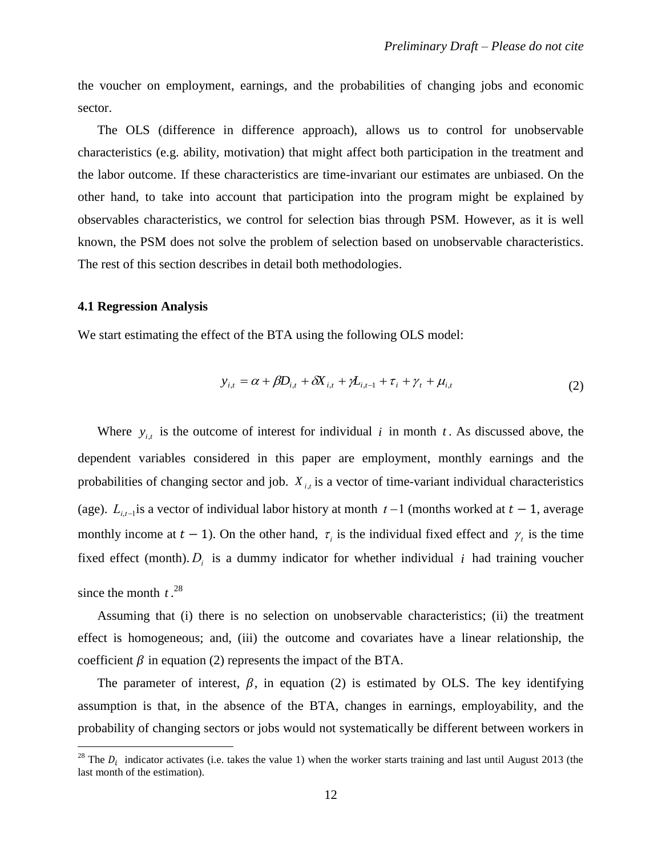the voucher on employment, earnings, and the probabilities of changing jobs and economic sector.

The OLS (difference in difference approach), allows us to control for unobservable characteristics (e.g. ability, motivation) that might affect both participation in the treatment and the labor outcome. If these characteristics are time-invariant our estimates are unbiased. On the other hand, to take into account that participation into the program might be explained by observables characteristics, we control for selection bias through PSM. However, as it is well known, the PSM does not solve the problem of selection based on unobservable characteristics. The rest of this section describes in detail both methodologies.

#### **4.1 Regression Analysis**

 $\overline{a}$ 

We start estimating the effect of the BTA using the following OLS model:

$$
y_{i,t} = \alpha + \beta D_{i,t} + \delta X_{i,t} + \gamma L_{i,t-1} + \tau_i + \gamma_t + \mu_{i,t}
$$
 (2)

Where  $y_{i,t}$  is the outcome of interest for individual i in month t. As discussed above, the dependent variables considered in this paper are employment, monthly earnings and the probabilities of changing sector and job. *X <sup>i</sup>*,*<sup>t</sup>* is a vector of time-variant individual characteristics (age).  $L_{i,t-1}$  is a vector of individual labor history at month  $t-1$  (months worked at  $t-1$ , average fixed effect (month).  $D_i$  is a dummy indicator for whether individual *i* had training voucher monthly income at  $t - 1$ ). On the other hand,  $\tau_i$  is the individual fixed effect and  $\gamma_i$  is the time since the month  $t^{28}$ .

Assuming that (i) there is no selection on unobservable characteristics; (ii) the treatment effect is homogeneous; and, (iii) the outcome and covariates have a linear relationship, the coefficient  $\beta$  in equation (2) represents the impact of the BTA.

The parameter of interest,  $\beta$ , in equation (2) is estimated by OLS. The key identifying assumption is that, in the absence of the BTA, changes in earnings, employability, and the probability of changing sectors or jobs would not systematically be different between workers in

<sup>&</sup>lt;sup>28</sup> The  $D_i$  indicator activates (i.e. takes the value 1) when the worker starts training and last until August 2013 (the last month of the estimation).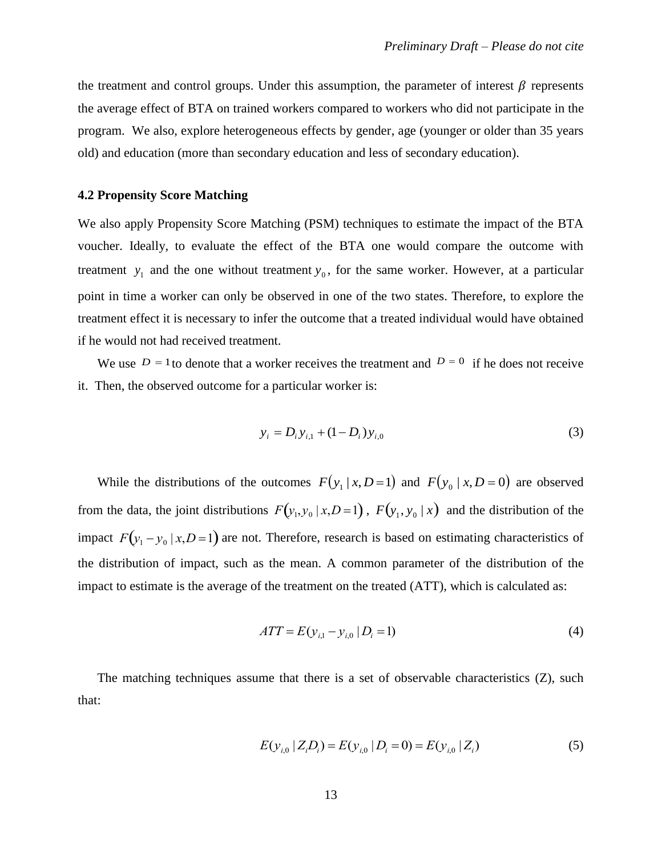the treatment and control groups. Under this assumption, the parameter of interest  $\beta$  represents the average effect of BTA on trained workers compared to workers who did not participate in the program. We also, explore heterogeneous effects by gender, age (younger or older than 35 years old) and education (more than secondary education and less of secondary education).

#### **4.2 Propensity Score Matching**

We also apply Propensity Score Matching (PSM) techniques to estimate the impact of the BTA voucher. Ideally, to evaluate the effect of the BTA one would compare the outcome with treatment  $y_1$  and the one without treatment  $y_0$ , for the same worker. However, at a particular point in time a worker can only be observed in one of the two states. Therefore, to explore the treatment effect it is necessary to infer the outcome that a treated individual would have obtained if he would not had received treatment.

We use  $D = 1$  to denote that a worker receives the treatment and  $D = 0$  if he does not receive it. Then, the observed outcome for a particular worker is:

$$
y_i = D_i y_{i,1} + (1 - D_i) y_{i,0}
$$
 (3)

While the distributions of the outcomes  $F(y_1 | x, D=1)$  and  $F(y_0 | x, D=0)$  are observed from the data, the joint distributions  $F(y_1, y_0 | x, D = 1)$ ,  $F(y_1, y_0 | x)$  and the distribution of the the distribution of impact, such as the mean. A common parameter of the distribution of the impact  $F(y_1 - y_0 | x, D = 1)$  are not. Therefore, research is based on estimating characteristics of impact to estimate is the average of the treatment on the treated (ATT)*,* which is calculated as:

$$
ATT = E(y_{i,1} - y_{i,0} | D_i = 1)
$$
\n(4)

 $\ddot{ }$ The matching techniques assume that there is a set of observable characteristics (Z)*,* such that:

$$
E(y_{i,0} | Z_i D_i) = E(y_{i,0} | D_i = 0) = E(y_{i,0} | Z_i)
$$
\n(5)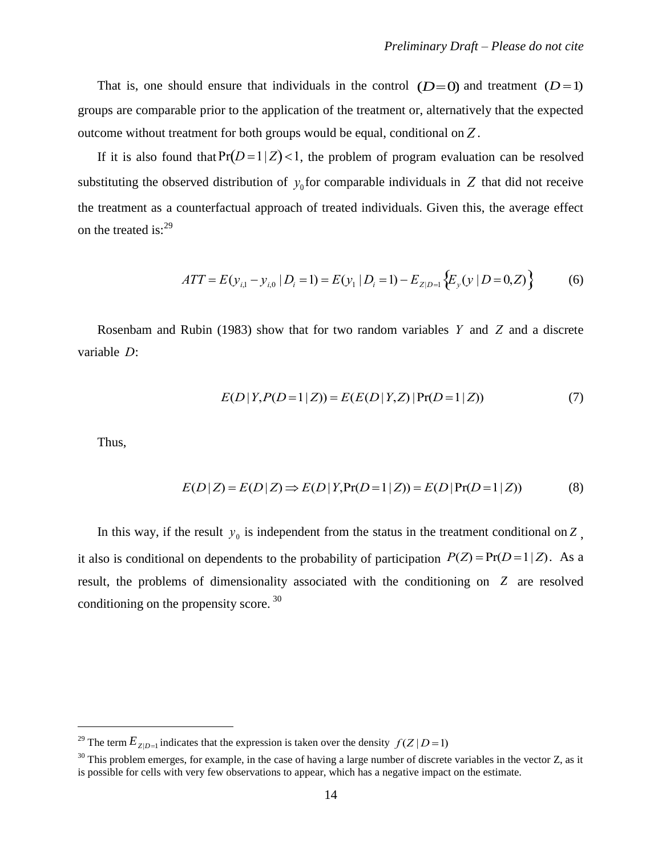That is, one should ensure that individuals in the control  $(D=0)$  and treatment  $(D=1)$ groups are comparable prior to the application of the treatment or, alternatively that the expected outcome without treatment for both groups would be equal, conditional on *Z* .

If it is also found that  $Pr(D=1 | Z)$  < 1, the problem of program evaluation can be resolved the treatment as a counterfactual approach of treated individuals. Given this, the average effect substituting the observed distribution of  $y_0$  for comparable individuals in  $Z$  that did not receive on the treated is:<sup>29</sup>

$$
ATT = E(y_{i,1} - y_{i,0} | D_i = 1) = E(y_1 | D_i = 1) - E_{Z|D=1} \{ E_y(y | D = 0, Z) \}
$$
 (6)

Rosenbam and Rubin (1983) show that for two random variables *Y* and *Z* and a discrete variable *D* :

$$
E(D|Y, P(D=1|Z)) = E(E(D|Y,Z)|Pr(D=1|Z))
$$
\n(7)

Thus,

 $\overline{a}$ 

$$
E(D|Z) = E(D|Z) \Rightarrow E(D|Y, Pr(D=1|Z)) = E(D|Pr(D=1|Z))
$$
\n(8)

In this way, if the result  $y_0$  is independent from the status in the treatment conditional on Z, result, the problems of dimensionality associated with the conditioning on Z are resolved it also is conditional on dependents to the probability of participation  $P(Z) = Pr(D=1 | Z)$ . As a conditioning on the propensity score. <sup>30</sup>

<sup>&</sup>lt;sup>29</sup> The term  $E_{Z|D=1}$  indicates that the expression is taken over the density  $f(Z|D=1)$ 

 $30$  This problem emerges, for example, in the case of having a large number of discrete variables in the vector Z, as it is possible for cells with very few observations to appear, which has a negative impact on the estimate.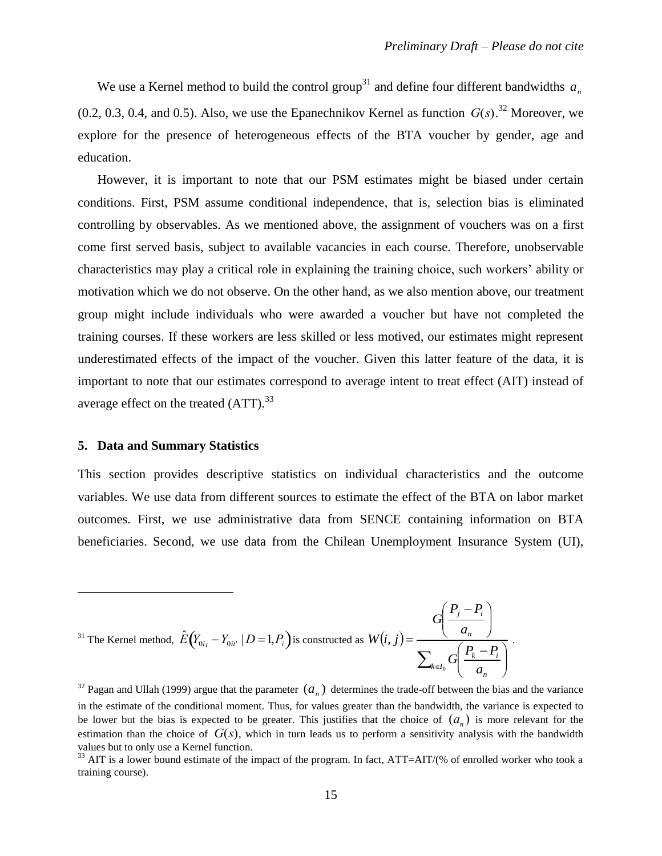We use a Kernel method to build the control group<sup>31</sup> and define four different bandwidths  $a_n$  $(0.2, 0.3, 0.4, \text{ and } 0.5)$ . Also, we use the Epanechnikov Kernel as function  $G(s)$ .<sup>32</sup> Moreover, we explore for the presence of heterogeneous effects of the BTA voucher by gender, age and education.

However, it is important to note that our PSM estimates might be biased under certain conditions. First, PSM assume conditional independence, that is, selection bias is eliminated controlling by observables. As we mentioned above, the assignment of vouchers was on a first come first served basis, subject to available vacancies in each course. Therefore, unobservable characteristics may play a critical role in explaining the training choice, such workers' ability or motivation which we do not observe. On the other hand, as we also mention above, our treatment group might include individuals who were awarded a voucher but have not completed the training courses. If these workers are less skilled or less motived, our estimates might represent underestimated effects of the impact of the voucher. Given this latter feature of the data, it is important to note that our estimates correspond to average intent to treat effect (AIT) instead of average effect on the treated  $(ATT)^{33}$ 

#### **5. Data and Summary Statistics**

 $\overline{a}$ 

This section provides descriptive statistics on individual characteristics and the outcome variables. We use data from different sources to estimate the effect of the BTA on labor market outcomes. First, we use administrative data from SENCE containing information on BTA beneficiaries. Second, we use data from the Chilean Unemployment Insurance System (UI),

$$
{}^{31}
$$
 The Kernel method,  $\hat{E}(Y_{0it} - Y_{0it'} | D = 1, P_i)$  is constructed as  $W(i, j) = \frac{G\left(\frac{P_j - P_i}{a_n}\right)}{\sum_{k \in I_0} G\left(\frac{P_k - P_i}{a_n}\right)}$ .

<sup>&</sup>lt;sup>32</sup> Pagan and Ullah (1999) argue that the parameter  $(a_n)$  determines the trade-off between the bias and the variance in the estimate of the conditional moment. Thus, for values greater than the bandwidth, the variance is expected to be lower but the bias is expected to be greater. This justifies that the choice of  $(a_n)$  is more relevant for the estimation than the choice of  $G(s)$ , which in turn leads us to perform a sensitivity analysis with the bandwidth values but to only use a Kernel function.

 $33$  AIT is a lower bound estimate of the impact of the program. In fact, ATT=AIT/(% of enrolled worker who took a training course).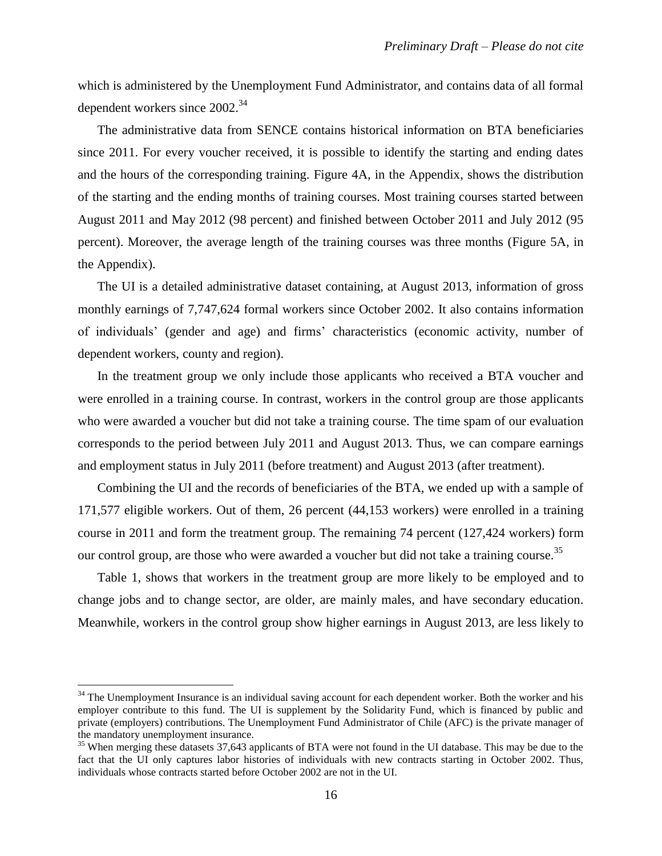which is administered by the Unemployment Fund Administrator, and contains data of all formal dependent workers since 2002.<sup>34</sup>

The administrative data from SENCE contains historical information on BTA beneficiaries since 2011. For every voucher received, it is possible to identify the starting and ending dates and the hours of the corresponding training. Figure 4A, in the Appendix, shows the distribution of the starting and the ending months of training courses. Most training courses started between August 2011 and May 2012 (98 percent) and finished between October 2011 and July 2012 (95 percent). Moreover, the average length of the training courses was three months (Figure 5A, in the Appendix).

The UI is a detailed administrative dataset containing, at August 2013, information of gross monthly earnings of 7,747,624 formal workers since October 2002. It also contains information of individuals' (gender and age) and firms' characteristics (economic activity, number of dependent workers, county and region).

In the treatment group we only include those applicants who received a BTA voucher and were enrolled in a training course. In contrast, workers in the control group are those applicants who were awarded a voucher but did not take a training course. The time spam of our evaluation corresponds to the period between July 2011 and August 2013. Thus, we can compare earnings and employment status in July 2011 (before treatment) and August 2013 (after treatment).

Combining the UI and the records of beneficiaries of the BTA, we ended up with a sample of 171,577 eligible workers. Out of them, 26 percent (44,153 workers) were enrolled in a training course in 2011 and form the treatment group. The remaining 74 percent (127,424 workers) form our control group, are those who were awarded a voucher but did not take a training course.<sup>35</sup>

Table 1, shows that workers in the treatment group are more likely to be employed and to change jobs and to change sector, are older, are mainly males, and have secondary education. Meanwhile, workers in the control group show higher earnings in August 2013, are less likely to

 $34$  The Unemployment Insurance is an individual saving account for each dependent worker. Both the worker and his employer contribute to this fund. The UI is supplement by the Solidarity Fund, which is financed by public and private (employers) contributions. The Unemployment Fund Administrator of Chile (AFC) is the private manager of the mandatory unemployment insurance.

<sup>&</sup>lt;sup>35</sup> When merging these datasets 37,643 applicants of BTA were not found in the UI database. This may be due to the fact that the UI only captures labor histories of individuals with new contracts starting in October 2002. Thus, individuals whose contracts started before October 2002 are not in the UI.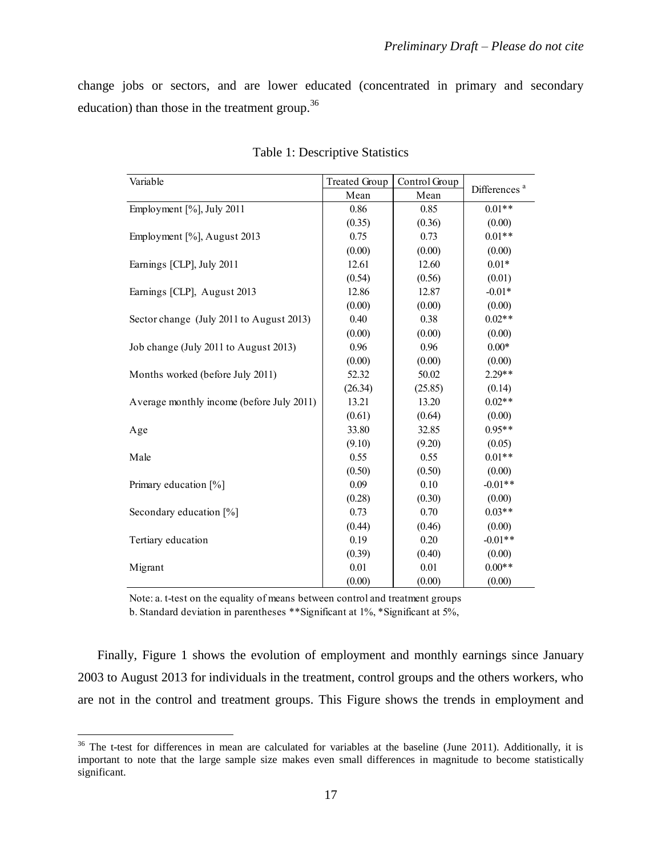change jobs or sectors, and are lower educated (concentrated in primary and secondary education) than those in the treatment group.<sup>36</sup>

| Variable                                  | <b>Treated Group</b> | Control Group |                          |
|-------------------------------------------|----------------------|---------------|--------------------------|
|                                           | Mean                 | Mean          | Differences <sup>a</sup> |
| Employment [%], July 2011                 | 0.86                 | 0.85          | $0.01**$                 |
|                                           | (0.35)               | (0.36)        | (0.00)                   |
| Employment [%], August 2013               | 0.75                 | 0.73          | $0.01**$                 |
|                                           | (0.00)               | (0.00)        | (0.00)                   |
| Earnings [CLP], July 2011                 | 12.61                | 12.60         | $0.01*$                  |
|                                           | (0.54)               | (0.56)        | (0.01)                   |
| Earnings [CLP], August 2013               | 12.86                | 12.87         | $-0.01*$                 |
|                                           | (0.00)               | (0.00)        | (0.00)                   |
| Sector change (July 2011 to August 2013)  | 0.40                 | 0.38          | $0.02**$                 |
|                                           | (0.00)               | (0.00)        | (0.00)                   |
| Job change (July 2011 to August 2013)     | 0.96                 | 0.96          | $0.00*$                  |
|                                           | (0.00)               | (0.00)        | (0.00)                   |
| Months worked (before July 2011)          | 52.32                | 50.02         | $2.29**$                 |
|                                           | (26.34)              | (25.85)       | (0.14)                   |
| Average monthly income (before July 2011) | 13.21                | 13.20         | $0.02**$                 |
|                                           | (0.61)               | (0.64)        | (0.00)                   |
| Age                                       | 33.80                | 32.85         | $0.95**$                 |
|                                           | (9.10)               | (9.20)        | (0.05)                   |
| Male                                      | 0.55                 | 0.55          | $0.01**$                 |
|                                           | (0.50)               | (0.50)        | (0.00)                   |
| Primary education [%]                     | 0.09                 | 0.10          | $-0.01**$                |
|                                           | (0.28)               | (0.30)        | (0.00)                   |
| Secondary education [%]                   | 0.73                 | 0.70          | $0.03**$                 |
|                                           | (0.44)               | (0.46)        | (0.00)                   |
| Tertiary education                        | 0.19                 | 0.20          | $-0.01**$                |
|                                           | (0.39)               | (0.40)        | (0.00)                   |
| Migrant                                   | 0.01                 | 0.01          | $0.00**$                 |
|                                           | (0.00)               | (0.00)        | (0.00)                   |

Table 1: Descriptive Statistics

Note: a. t-test on the equality of means between control and treatment groups

b. Standard deviation in parentheses \*\*Significant at 1%, \*Significant at 5%,

 $\overline{a}$ 

Finally, Figure 1 shows the evolution of employment and monthly earnings since January 2003 to August 2013 for individuals in the treatment, control groups and the others workers, who are not in the control and treatment groups. This Figure shows the trends in employment and

 $36$  The t-test for differences in mean are calculated for variables at the baseline (June 2011). Additionally, it is important to note that the large sample size makes even small differences in magnitude to become statistically significant.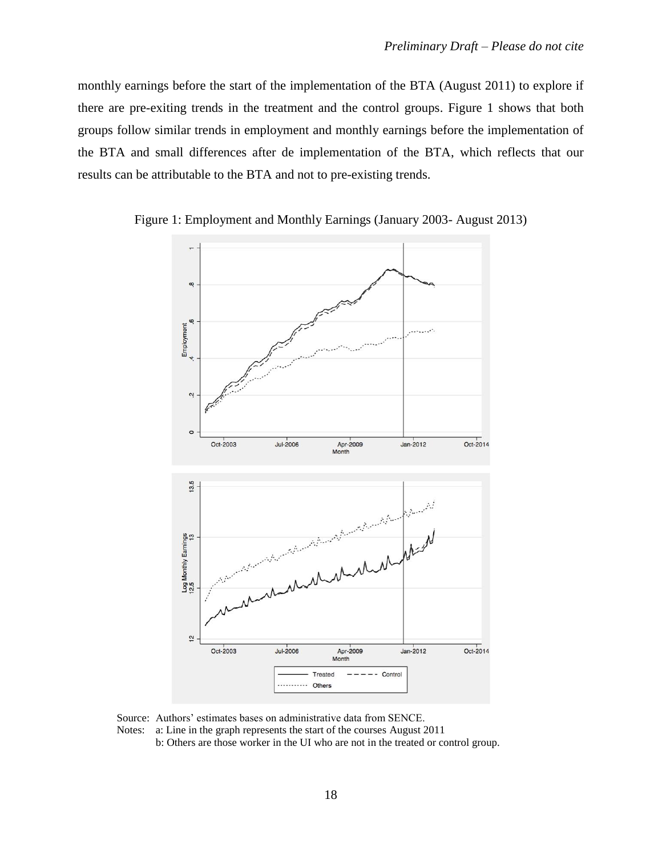monthly earnings before the start of the implementation of the BTA (August 2011) to explore if there are pre-exiting trends in the treatment and the control groups. Figure 1 shows that both groups follow similar trends in employment and monthly earnings before the implementation of the BTA and small differences after de implementation of the BTA, which reflects that our results can be attributable to the BTA and not to pre-existing trends.





Source: Authors' estimates bases on administrative data from SENCE. Notes: a: Line in the graph represents the start of the courses August 2011

b: Others are those worker in the UI who are not in the treated or control group.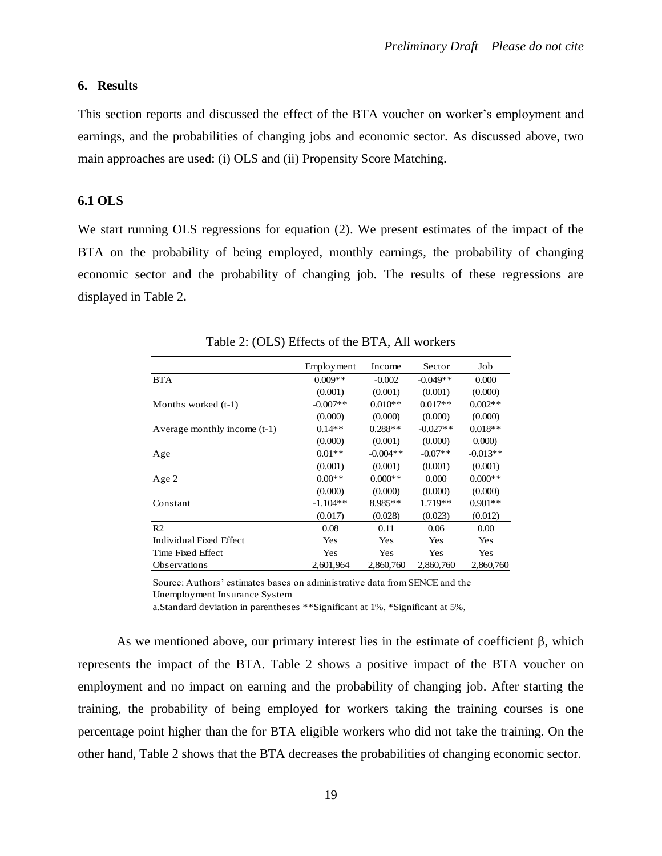## **6. Results**

This section reports and discussed the effect of the BTA voucher on worker's employment and earnings, and the probabilities of changing jobs and economic sector. As discussed above, two main approaches are used: (i) OLS and (ii) Propensity Score Matching.

#### **6.1 OLS**

We start running OLS regressions for equation (2). We present estimates of the impact of the BTA on the probability of being employed, monthly earnings, the probability of changing economic sector and the probability of changing job. The results of these regressions are displayed in Table 2**.**

|                              | Employment | Income     | Sector     | Job        |
|------------------------------|------------|------------|------------|------------|
| <b>BTA</b>                   | $0.009**$  | $-0.002$   | $-0.049**$ | 0.000      |
|                              | (0.001)    | (0.001)    | (0.001)    | (0.000)    |
| Months worked (t-1)          | $-0.007**$ | $0.010**$  | $0.017**$  | $0.002**$  |
|                              | (0.000)    | (0.000)    | (0.000)    | (0.000)    |
| Average monthly income (t-1) | $0.14**$   | $0.288**$  | $-0.027**$ | $0.018**$  |
|                              | (0.000)    | (0.001)    | (0.000)    | 0.000      |
| Age                          | $0.01**$   | $-0.004**$ | $-0.07**$  | $-0.013**$ |
|                              | (0.001)    | (0.001)    | (0.001)    | (0.001)    |
| Age 2                        | $0.00**$   | $0.000**$  | 0.000      | $0.000**$  |
|                              | (0.000)    | (0.000)    | (0.000)    | (0.000)    |
| Constant                     | $-1.104**$ | $8.985**$  | $1.719**$  | $0.901**$  |
|                              | (0.017)    | (0.028)    | (0.023)    | (0.012)    |
| R <sub>2</sub>               | 0.08       | 0.11       | 0.06       | 0.00       |
| Individual Fixed Effect      | Yes        | Yes        | Yes        | <b>Yes</b> |
| Time Fixed Effect            | Yes        | Yes        | Yes        | Yes        |
| <b>Observations</b>          | 2.601.964  | 2,860,760  | 2,860,760  | 2,860,760  |

Table 2: (OLS) Effects of the BTA, All workers

Source: Authors' estimates bases on administrative data from SENCE and the Unemployment Insurance System

a.Standard deviation in parentheses \*\*Significant at 1%, \*Significant at 5%,

As we mentioned above, our primary interest lies in the estimate of coefficient  $\beta$ , which represents the impact of the BTA. Table 2 shows a positive impact of the BTA voucher on employment and no impact on earning and the probability of changing job. After starting the training, the probability of being employed for workers taking the training courses is one percentage point higher than the for BTA eligible workers who did not take the training. On the other hand, Table 2 shows that the BTA decreases the probabilities of changing economic sector.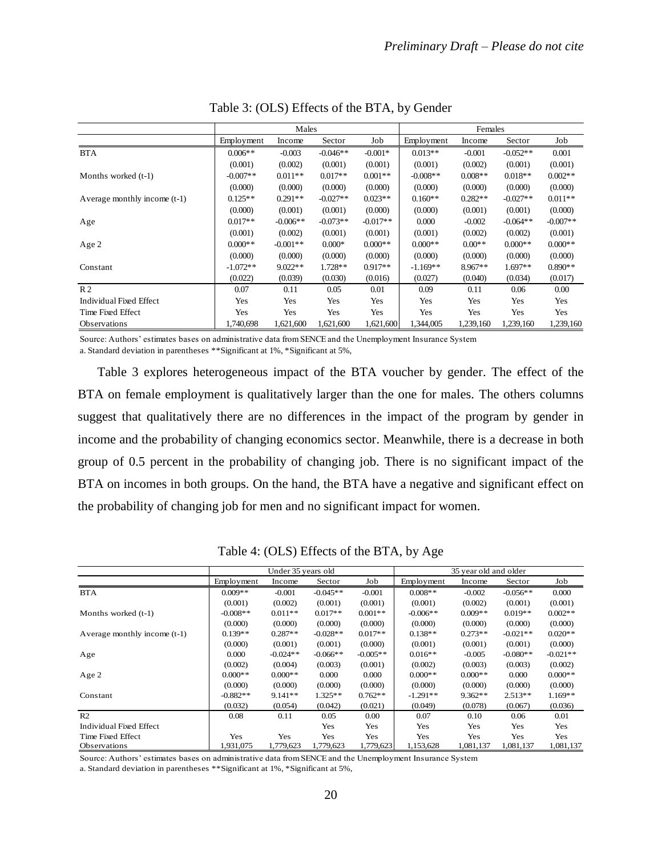|                              |            | Males      |            |            | Females    |           |            |            |
|------------------------------|------------|------------|------------|------------|------------|-----------|------------|------------|
|                              | Employment | Income     | Sector     | Job        | Employment | Income    | Sector     | Job        |
| <b>BTA</b>                   | $0.006**$  | $-0.003$   | $-0.046**$ | $-0.001*$  | $0.013**$  | $-0.001$  | $-0.052**$ | 0.001      |
|                              | (0.001)    | (0.002)    | (0.001)    | (0.001)    | (0.001)    | (0.002)   | (0.001)    | (0.001)    |
| Months worked $(t-1)$        | $-0.007**$ | $0.011**$  | $0.017**$  | $0.001**$  | $-0.008**$ | $0.008**$ | $0.018**$  | $0.002**$  |
|                              | (0.000)    | (0.000)    | (0.000)    | (0.000)    | (0.000)    | (0.000)   | (0.000)    | (0.000)    |
| Average monthly income (t-1) | $0.125**$  | $0.291**$  | $-0.027**$ | $0.023**$  | $0.160**$  | $0.282**$ | $-0.027**$ | $0.011**$  |
|                              | (0.000)    | (0.001)    | (0.001)    | (0.000)    | (0.000)    | (0.001)   | (0.001)    | (0.000)    |
| Age                          | $0.017**$  | $-0.006**$ | $-0.073**$ | $-0.017**$ | 0.000      | $-0.002$  | $-0.064**$ | $-0.007**$ |
|                              | (0.001)    | (0.002)    | (0.001)    | (0.001)    | (0.001)    | (0.002)   | (0.002)    | (0.001)    |
| Age 2                        | $0.000**$  | $-0.001**$ | $0.000*$   | $0.000**$  | $0.000**$  | $0.00**$  | $0.000**$  | $0.000**$  |
|                              | (0.000)    | (0.000)    | (0.000)    | (0.000)    | (0.000)    | (0.000)   | (0.000)    | (0.000)    |
| Constant                     | $-1.072**$ | $9.022**$  | $1.728**$  | $0.917**$  | $-1.169**$ | $8.967**$ | $1.697**$  | $0.890**$  |
|                              | (0.022)    | (0.039)    | (0.030)    | (0.016)    | (0.027)    | (0.040)   | (0.034)    | (0.017)    |
| R <sub>2</sub>               | 0.07       | 0.11       | 0.05       | 0.01       | 0.09       | 0.11      | 0.06       | $0.00\,$   |
| Individual Fixed Effect      | Yes        | Yes        | Yes        | Yes        | Yes        | Yes       | Yes        | Yes        |
| Time Fixed Effect            | Yes        | Yes        | Yes        | Yes        | Yes        | Yes       | Yes        | Yes        |
| <b>Observations</b>          | 1,740,698  | 1,621,600  | 1,621,600  | 1,621,600  | 1.344.005  | 1,239,160 | 1,239,160  | 1,239,160  |

Table 3: (OLS) Effects of the BTA, by Gender

Source: Authors' estimates bases on administrative data from SENCE and the Unemployment Insurance System a. Standard deviation in parentheses \*\*Significant at 1%, \*Significant at 5%,

Table 3 explores heterogeneous impact of the BTA voucher by gender. The effect of the BTA on female employment is qualitatively larger than the one for males. The others columns suggest that qualitatively there are no differences in the impact of the program by gender in income and the probability of changing economics sector. Meanwhile, there is a decrease in both group of 0.5 percent in the probability of changing job. There is no significant impact of the BTA on incomes in both groups. On the hand, the BTA have a negative and significant effect on the probability of changing job for men and no significant impact for women.

|                              |            | Under 35 years old |            |            | 35 year old and older |           |            |            |
|------------------------------|------------|--------------------|------------|------------|-----------------------|-----------|------------|------------|
|                              | Employment | Income             | Sector     | Job        | Employment            | Income    | Sector     | Job        |
| <b>BTA</b>                   | $0.009**$  | $-0.001$           | $-0.045**$ | $-0.001$   | $0.008**$             | $-0.002$  | $-0.056**$ | 0.000      |
|                              | (0.001)    | (0.002)            | (0.001)    | (0.001)    | (0.001)               | (0.002)   | (0.001)    | (0.001)    |
| Months worked (t-1)          | $-0.008**$ | $0.011**$          | $0.017**$  | $0.001**$  | $-0.006**$            | $0.009**$ | $0.019**$  | $0.002**$  |
|                              | (0.000)    | (0.000)            | (0.000)    | (0.000)    | (0.000)               | (0.000)   | (0.000)    | (0.000)    |
| Average monthly income (t-1) | $0.139**$  | $0.287**$          | $-0.028**$ | $0.017**$  | $0.138**$             | $0.273**$ | $-0.021**$ | $0.020**$  |
|                              | (0.000)    | (0.001)            | (0.001)    | (0.000)    | (0.001)               | (0.001)   | (0.001)    | (0.000)    |
| Age                          | 0.000      | $-0.024**$         | $-0.066**$ | $-0.005**$ | $0.016**$             | $-0.005$  | $-0.080**$ | $-0.021**$ |
|                              | (0.002)    | (0.004)            | (0.003)    | (0.001)    | (0.002)               | (0.003)   | (0.003)    | (0.002)    |
| Age 2                        | $0.000**$  | $0.000**$          | 0.000      | 0.000      | $0.000**$             | $0.000**$ | 0.000      | $0.000**$  |
|                              | (0.000)    | (0.000)            | (0.000)    | (0.000)    | (0.000)               | (0.000)   | (0.000)    | (0.000)    |
| Constant                     | $-0.882**$ | $9.141**$          | $1.325**$  | $0.762**$  | $-1.291**$            | $9.362**$ | $2.513**$  | $1.169**$  |
|                              | (0.032)    | (0.054)            | (0.042)    | (0.021)    | (0.049)               | (0.078)   | (0.067)    | (0.036)    |
| R <sub>2</sub>               | 0.08       | 0.11               | 0.05       | $0.00\,$   | 0.07                  | 0.10      | 0.06       | 0.01       |
| Individual Fixed Effect      |            |                    | Yes        | Yes        | Yes                   | Yes       | Yes        | Yes        |
| Time Fixed Effect            | Yes        | Yes                | Yes        | Yes        | Yes                   | Yes       | Yes        | Yes        |
| Observations                 | 1.931.075  | 1.779.623          | 1,779,623  | 1,779,623  | 1,153,628             | 1,081,137 | 1,081,137  | 1,081,137  |

Table 4: (OLS) Effects of the BTA, by Age

Source: Authors' estimates bases on administrative data from SENCE and the Unemployment Insurance System a. Standard deviation in parentheses \*\*Significant at 1%, \*Significant at 5%,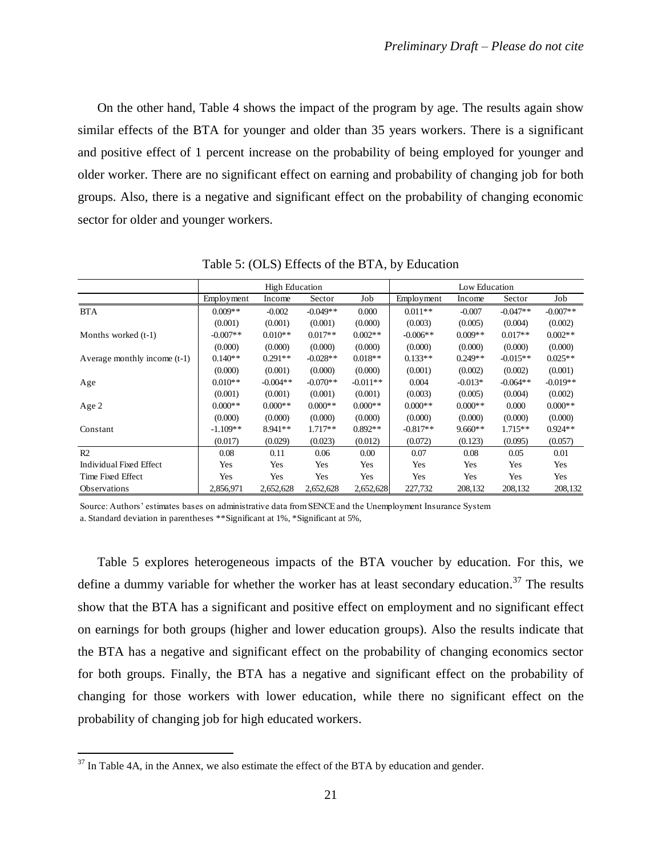On the other hand, Table 4 shows the impact of the program by age. The results again show similar effects of the BTA for younger and older than 35 years workers. There is a significant and positive effect of 1 percent increase on the probability of being employed for younger and older worker. There are no significant effect on earning and probability of changing job for both groups. Also, there is a negative and significant effect on the probability of changing economic sector for older and younger workers.

|                              |            | <b>High Education</b> |            |            | Low Education |           |            |            |
|------------------------------|------------|-----------------------|------------|------------|---------------|-----------|------------|------------|
|                              | Employment | Income                | Sector     | Job        | Employment    | Income    | Sector     | Job        |
| <b>BTA</b>                   | $0.009**$  | $-0.002$              | $-0.049**$ | 0.000      | $0.011**$     | $-0.007$  | $-0.047**$ | $-0.007**$ |
|                              | (0.001)    | (0.001)               | (0.001)    | (0.000)    | (0.003)       | (0.005)   | (0.004)    | (0.002)    |
| Months worked (t-1)          | $-0.007**$ | $0.010**$             | $0.017**$  | $0.002**$  | $-0.006**$    | $0.009**$ | $0.017**$  | $0.002**$  |
|                              | (0.000)    | (0.000)               | (0.000)    | (0.000)    | (0.000)       | (0.000)   | (0.000)    | (0.000)    |
| Average monthly income (t-1) | $0.140**$  | $0.291**$             | $-0.028**$ | $0.018**$  | $0.133**$     | $0.249**$ | $-0.015**$ | $0.025**$  |
|                              | (0.000)    | (0.001)               | (0.000)    | (0.000)    | (0.001)       | (0.002)   | (0.002)    | (0.001)    |
| Age                          | $0.010**$  | $-0.004**$            | $-0.070**$ | $-0.011**$ | 0.004         | $-0.013*$ | $-0.064**$ | $-0.019**$ |
|                              | (0.001)    | (0.001)               | (0.001)    | (0.001)    | (0.003)       | (0.005)   | (0.004)    | (0.002)    |
| Age 2                        | $0.000**$  | $0.000**$             | $0.000**$  | $0.000**$  | $0.000**$     | $0.000**$ | 0.000      | $0.000**$  |
|                              | (0.000)    | (0.000)               | (0.000)    | (0.000)    | (0.000)       | (0.000)   | (0.000)    | (0.000)    |
| Constant                     | $-1.109**$ | $8.941**$             | $1.717**$  | $0.892**$  | $-0.817**$    | $9.660**$ | $1.715**$  | $0.924**$  |
|                              | (0.017)    | (0.029)               | (0.023)    | (0.012)    | (0.072)       | (0.123)   | (0.095)    | (0.057)    |
| R <sub>2</sub>               | 0.08       | 0.11                  | 0.06       | 0.00       | 0.07          | 0.08      | 0.05       | 0.01       |
| Individual Fixed Effect      | Yes        | <b>Yes</b>            | Yes        | Yes        | Yes           | Yes       | Yes        | Yes        |
| Time Fixed Effect            | Yes        | Yes                   | Yes        | Yes        | Yes           | Yes       | Yes        | Yes        |
| <b>Observations</b>          | 2,856,971  | 2,652,628             | 2,652,628  | 2,652,628  | 227,732       | 208,132   | 208,132    | 208,132    |

Table 5: (OLS) Effects of the BTA, by Education

Source: Authors' estimates bases on administrative data from SENCE and the Unemployment Insurance System a. Standard deviation in parentheses \*\*Significant at 1%, \*Significant at 5%,

Table 5 explores heterogeneous impacts of the BTA voucher by education. For this, we define a dummy variable for whether the worker has at least secondary education.<sup>37</sup> The results show that the BTA has a significant and positive effect on employment and no significant effect on earnings for both groups (higher and lower education groups). Also the results indicate that the BTA has a negative and significant effect on the probability of changing economics sector for both groups. Finally, the BTA has a negative and significant effect on the probability of changing for those workers with lower education, while there no significant effect on the probability of changing job for high educated workers.

 $37$  In Table 4A, in the Annex, we also estimate the effect of the BTA by education and gender.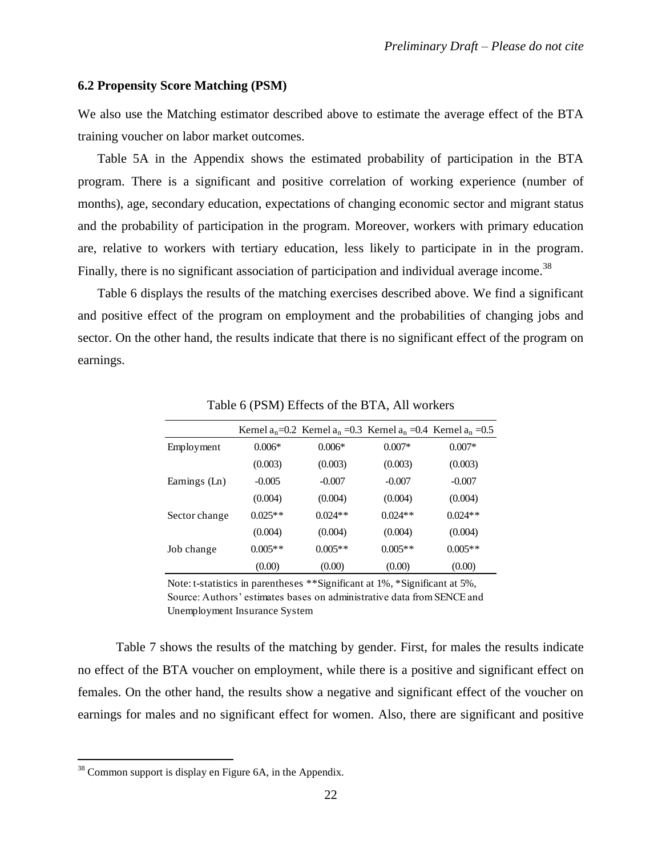## **6.2 Propensity Score Matching (PSM)**

We also use the Matching estimator described above to estimate the average effect of the BTA training voucher on labor market outcomes.

Table 5A in the Appendix shows the estimated probability of participation in the BTA program. There is a significant and positive correlation of working experience (number of months), age, secondary education, expectations of changing economic sector and migrant status and the probability of participation in the program. Moreover, workers with primary education are, relative to workers with tertiary education, less likely to participate in in the program. Finally, there is no significant association of participation and individual average income.<sup>38</sup>

Table 6 displays the results of the matching exercises described above. We find a significant and positive effect of the program on employment and the probabilities of changing jobs and sector. On the other hand, the results indicate that there is no significant effect of the program on earnings.

|               |           | Kernel $a_n=0.2$ Kernel $a_n=0.3$ Kernel $a_n=0.4$ Kernel $a_n=0.5$ |           |           |
|---------------|-----------|---------------------------------------------------------------------|-----------|-----------|
| Employment    | $0.006*$  | $0.006*$                                                            | $0.007*$  | $0.007*$  |
|               | (0.003)   | (0.003)                                                             | (0.003)   | (0.003)   |
| Earnings (Ln) | $-0.005$  | $-0.007$                                                            | $-0.007$  | $-0.007$  |
|               | (0.004)   | (0.004)                                                             | (0.004)   | (0.004)   |
| Sector change | $0.025**$ | $0.024**$                                                           | $0.024**$ | $0.024**$ |
|               | (0.004)   | (0.004)                                                             | (0.004)   | (0.004)   |
| Job change    | $0.005**$ | $0.005**$                                                           | $0.005**$ | $0.005**$ |
|               | (0.00)    | (0.00)                                                              | (0.00)    | (0.00)    |

Table 6 (PSM) Effects of the BTA, All workers

Note: t-statistics in parentheses \*\*Significant at 1%, \*Significant at 5%,

Source: Authors' estimates bases on administrative data from SENCE and Unemployment Insurance System

Table 7 shows the results of the matching by gender. First, for males the results indicate no effect of the BTA voucher on employment, while there is a positive and significant effect on females. On the other hand, the results show a negative and significant effect of the voucher on earnings for males and no significant effect for women. Also, there are significant and positive

<sup>&</sup>lt;sup>38</sup> Common support is display en Figure 6A, in the Appendix.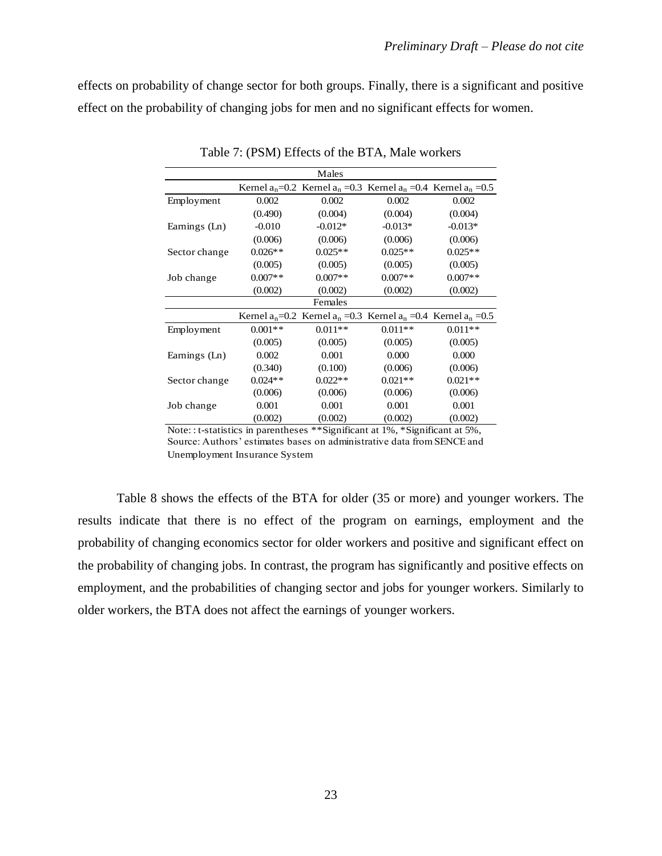effects on probability of change sector for both groups. Finally, there is a significant and positive effect on the probability of changing jobs for men and no significant effects for women.

|               |           | Males                                                               |           |           |
|---------------|-----------|---------------------------------------------------------------------|-----------|-----------|
|               |           | Kernel $a_n=0.2$ Kernel $a_n=0.3$ Kernel $a_n=0.4$ Kernel $a_n=0.5$ |           |           |
| Employment    | 0.002     | 0.002                                                               | 0.002     | 0.002     |
|               | (0.490)   | (0.004)                                                             | (0.004)   | (0.004)   |
| Earnings (Ln) | $-0.010$  | $-0.012*$                                                           | $-0.013*$ | $-0.013*$ |
|               | (0.006)   | (0.006)                                                             | (0.006)   | (0.006)   |
| Sector change | $0.026**$ | $0.025**$                                                           | $0.025**$ | $0.025**$ |
|               | (0.005)   | (0.005)                                                             | (0.005)   | (0.005)   |
| Job change    | $0.007**$ | $0.007**$                                                           | $0.007**$ | $0.007**$ |
|               | (0.002)   | (0.002)                                                             | (0.002)   | (0.002)   |
|               |           | Females                                                             |           |           |
|               |           | Kernel $a_n=0.2$ Kernel $a_n=0.3$ Kernel $a_n=0.4$ Kernel $a_n=0.5$ |           |           |
| Employment    | $0.001**$ | $0.011**$                                                           | $0.011**$ | $0.011**$ |
|               | (0.005)   | (0.005)                                                             | (0.005)   | (0.005)   |
| Earnings (Ln) | 0.002     | 0.001                                                               | 0.000     | 0.000     |
|               | (0.340)   | (0.100)                                                             | (0.006)   | (0.006)   |
| Sector change | $0.024**$ | $0.022**$                                                           | $0.021**$ | $0.021**$ |
|               | (0.006)   | (0.006)                                                             | (0.006)   | (0.006)   |
| Job change    | 0.001     | 0.001                                                               | 0.001     | 0.001     |
|               | (0.002)   | (0.002)                                                             | (0.002)   | (0.002)   |

Table 7: (PSM) Effects of the BTA, Male workers

Note: : t-statistics in parentheses \*\*Significant at 1%, \*Significant at 5%, Source: Authors' estimates bases on administrative data from SENCE and Unemployment Insurance System

Table 8 shows the effects of the BTA for older (35 or more) and younger workers. The results indicate that there is no effect of the program on earnings, employment and the probability of changing economics sector for older workers and positive and significant effect on the probability of changing jobs. In contrast, the program has significantly and positive effects on employment, and the probabilities of changing sector and jobs for younger workers. Similarly to older workers, the BTA does not affect the earnings of younger workers.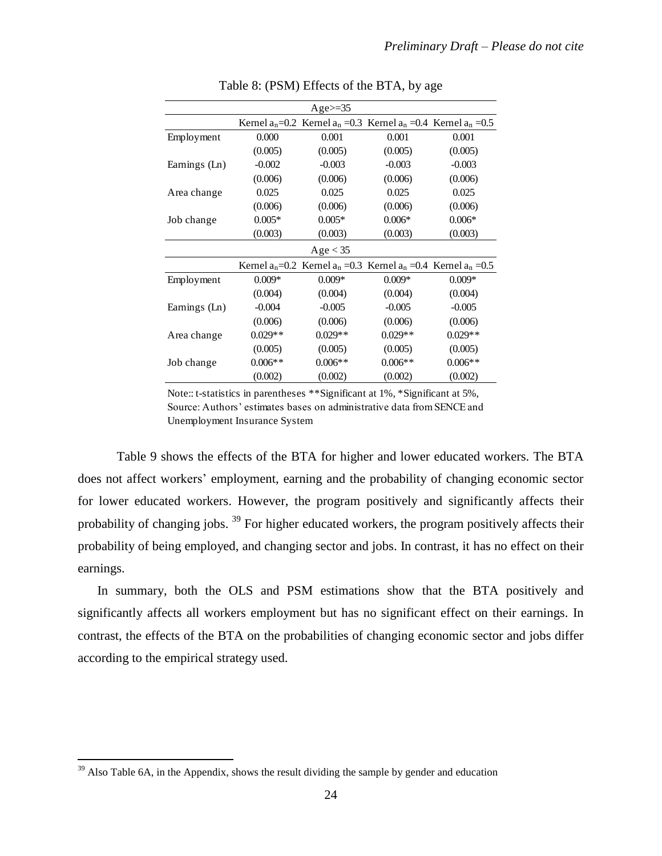|               |           | Age $\ge$ =35                                                       |           |           |
|---------------|-----------|---------------------------------------------------------------------|-----------|-----------|
|               |           | Kernel $a_n=0.2$ Kernel $a_n=0.3$ Kernel $a_n=0.4$ Kernel $a_n=0.5$ |           |           |
| Employment    | 0.000     | 0.001                                                               | 0.001     | 0.001     |
|               | (0.005)   | (0.005)                                                             | (0.005)   | (0.005)   |
| Earnings (Ln) | $-0.002$  | $-0.003$                                                            | $-0.003$  | $-0.003$  |
|               | (0.006)   | (0.006)                                                             | (0.006)   | (0.006)   |
| Area change   | 0.025     | 0.025                                                               | 0.025     | 0.025     |
|               | (0.006)   | (0.006)                                                             | (0.006)   | (0.006)   |
| Job change    | $0.005*$  | $0.005*$                                                            | $0.006*$  | $0.006*$  |
|               | (0.003)   | (0.003)                                                             | (0.003)   | (0.003)   |
|               |           | Age < 35                                                            |           |           |
|               |           | Kernel $a_n=0.2$ Kernel $a_n=0.3$ Kernel $a_n=0.4$ Kernel $a_n=0.5$ |           |           |
| Employment    | $0.009*$  | $0.009*$                                                            | $0.009*$  | $0.009*$  |
|               | (0.004)   | (0.004)                                                             | (0.004)   | (0.004)   |
| Earnings (Ln) | $-0.004$  | $-0.005$                                                            | $-0.005$  | $-0.005$  |
|               | (0.006)   | (0.006)                                                             | (0.006)   | (0.006)   |
| Area change   | $0.029**$ | $0.029**$                                                           | $0.029**$ | $0.029**$ |
|               | (0.005)   | (0.005)                                                             | (0.005)   | (0.005)   |
| Job change    | $0.006**$ | $0.006**$                                                           | $0.006**$ | $0.006**$ |
|               | (0.002)   | (0.002)                                                             | (0.002)   | (0.002)   |

Table 8: (PSM) Effects of the BTA, by age

Note:: t-statistics in parentheses \*\*Significant at 1%, \*Significant at 5%, Source: Authors' estimates bases on administrative data from SENCE and Unemployment Insurance System

Table 9 shows the effects of the BTA for higher and lower educated workers. The BTA does not affect workers' employment, earning and the probability of changing economic sector for lower educated workers. However, the program positively and significantly affects their probability of changing jobs. <sup>39</sup> For higher educated workers, the program positively affects their probability of being employed, and changing sector and jobs. In contrast, it has no effect on their earnings.

In summary, both the OLS and PSM estimations show that the BTA positively and significantly affects all workers employment but has no significant effect on their earnings. In contrast, the effects of the BTA on the probabilities of changing economic sector and jobs differ according to the empirical strategy used.

 $39$  Also Table 6A, in the Appendix, shows the result dividing the sample by gender and education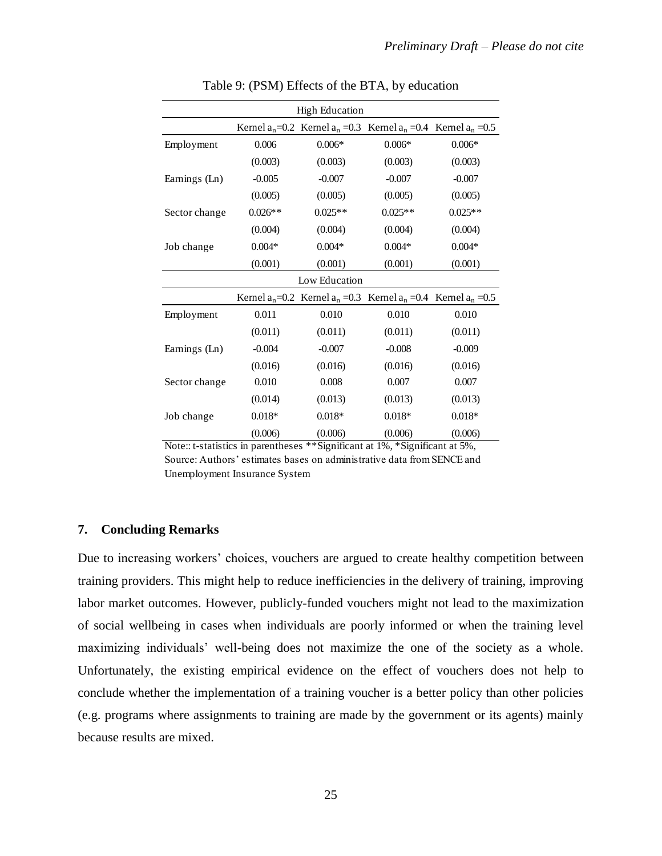|               | <b>High Education</b> |                                                                     |           |           |  |  |
|---------------|-----------------------|---------------------------------------------------------------------|-----------|-----------|--|--|
|               |                       | Kernel $a_n=0.2$ Kernel $a_n=0.3$ Kernel $a_n=0.4$ Kernel $a_n=0.5$ |           |           |  |  |
| Employment    | 0.006                 | $0.006*$                                                            | $0.006*$  | $0.006*$  |  |  |
|               | (0.003)               | (0.003)                                                             | (0.003)   | (0.003)   |  |  |
| Earnings (Ln) | $-0.005$              | $-0.007$                                                            | $-0.007$  | $-0.007$  |  |  |
|               | (0.005)               | (0.005)                                                             | (0.005)   | (0.005)   |  |  |
| Sector change | $0.026**$             | $0.025**$                                                           | $0.025**$ | $0.025**$ |  |  |
|               | (0.004)               | (0.004)                                                             | (0.004)   | (0.004)   |  |  |
| Job change    | $0.004*$              | $0.004*$                                                            | $0.004*$  | $0.004*$  |  |  |
|               | (0.001)               | (0.001)                                                             | (0.001)   | (0.001)   |  |  |
|               |                       | Low Education                                                       |           |           |  |  |
|               |                       | Kernel $a_n=0.2$ Kernel $a_n=0.3$ Kernel $a_n=0.4$ Kernel $a_n=0.5$ |           |           |  |  |
| Employment    | 0.011                 | 0.010                                                               | 0.010     | 0.010     |  |  |
|               | (0.011)               | (0.011)                                                             | (0.011)   | (0.011)   |  |  |
| Earnings (Ln) | $-0.004$              | $-0.007$                                                            | $-0.008$  | $-0.009$  |  |  |
|               | (0.016)               | (0.016)                                                             | (0.016)   | (0.016)   |  |  |
| Sector change | 0.010                 | 0.008                                                               | 0.007     | 0.007     |  |  |
|               | (0.014)               | (0.013)                                                             | (0.013)   | (0.013)   |  |  |
| Job change    | $0.018*$              | $0.018*$                                                            | $0.018*$  | $0.018*$  |  |  |
|               | (0.006)               | (0.006)                                                             | (0.006)   | (0.006)   |  |  |

Table 9: (PSM) Effects of the BTA, by education

Note:: t-statistics in parentheses \*\*Significant at 1%, \*Significant at 5%, Source: Authors' estimates bases on administrative data from SENCE and Unemployment Insurance System

#### **7. Concluding Remarks**

Due to increasing workers' choices, vouchers are argued to create healthy competition between training providers. This might help to reduce inefficiencies in the delivery of training, improving labor market outcomes. However, publicly-funded vouchers might not lead to the maximization of social wellbeing in cases when individuals are poorly informed or when the training level maximizing individuals' well-being does not maximize the one of the society as a whole. Unfortunately, the existing empirical evidence on the effect of vouchers does not help to conclude whether the implementation of a training voucher is a better policy than other policies (e.g. programs where assignments to training are made by the government or its agents) mainly because results are mixed.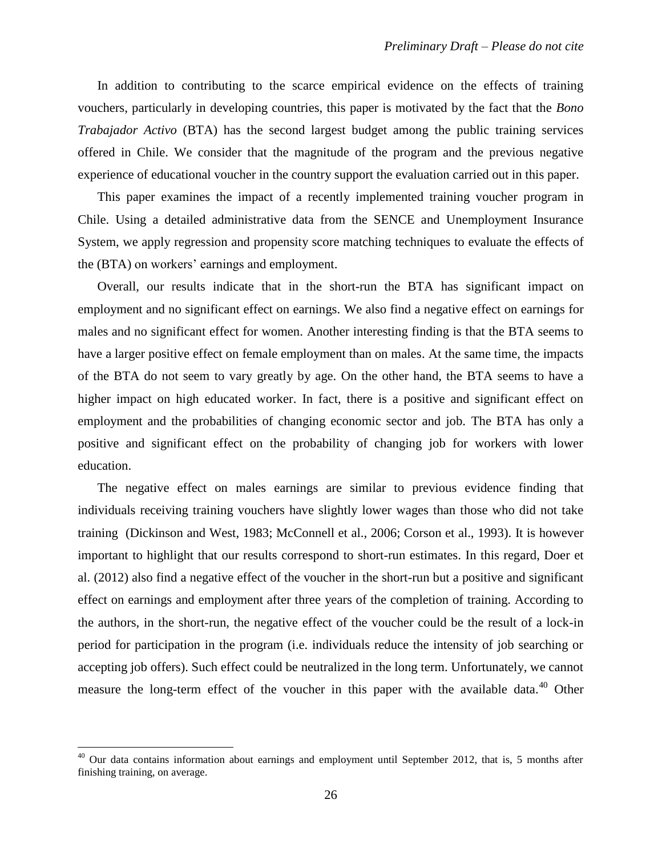In addition to contributing to the scarce empirical evidence on the effects of training vouchers, particularly in developing countries, this paper is motivated by the fact that the *Bono Trabajador Activo* (BTA) has the second largest budget among the public training services offered in Chile. We consider that the magnitude of the program and the previous negative experience of educational voucher in the country support the evaluation carried out in this paper.

This paper examines the impact of a recently implemented training voucher program in Chile. Using a detailed administrative data from the SENCE and Unemployment Insurance System, we apply regression and propensity score matching techniques to evaluate the effects of the (BTA) on workers' earnings and employment.

Overall, our results indicate that in the short-run the BTA has significant impact on employment and no significant effect on earnings. We also find a negative effect on earnings for males and no significant effect for women. Another interesting finding is that the BTA seems to have a larger positive effect on female employment than on males. At the same time, the impacts of the BTA do not seem to vary greatly by age. On the other hand, the BTA seems to have a higher impact on high educated worker. In fact, there is a positive and significant effect on employment and the probabilities of changing economic sector and job. The BTA has only a positive and significant effect on the probability of changing job for workers with lower education.

The negative effect on males earnings are similar to previous evidence finding that individuals receiving training vouchers have slightly lower wages than those who did not take training (Dickinson and West, 1983; McConnell et al., 2006; Corson et al., 1993). It is however important to highlight that our results correspond to short-run estimates. In this regard, Doer et al. (2012) also find a negative effect of the voucher in the short-run but a positive and significant effect on earnings and employment after three years of the completion of training. According to the authors, in the short-run, the negative effect of the voucher could be the result of a lock-in period for participation in the program (i.e. individuals reduce the intensity of job searching or accepting job offers). Such effect could be neutralized in the long term. Unfortunately, we cannot measure the long-term effect of the voucher in this paper with the available data.<sup>40</sup> Other

<sup>&</sup>lt;sup>40</sup> Our data contains information about earnings and employment until September 2012, that is, 5 months after finishing training, on average.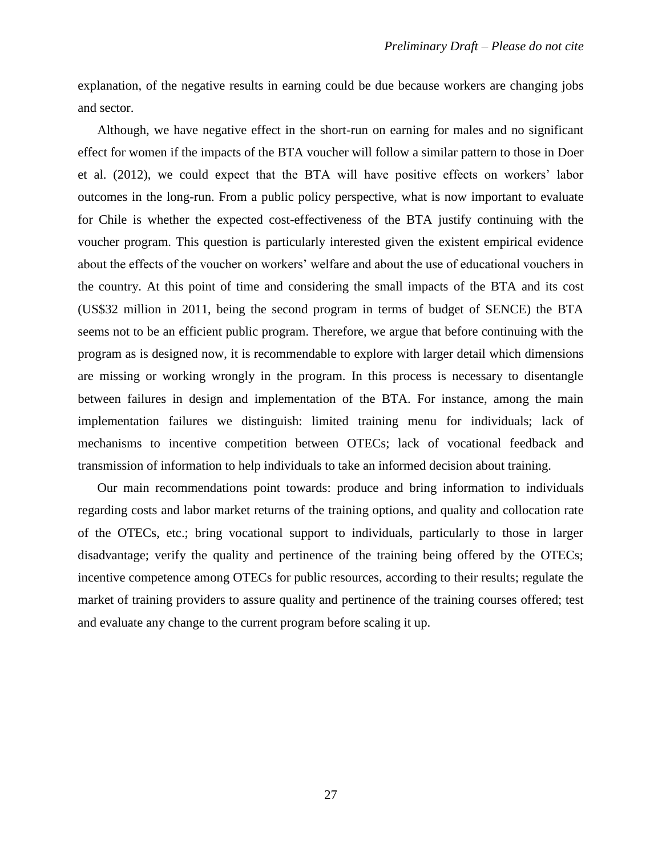explanation, of the negative results in earning could be due because workers are changing jobs and sector.

Although, we have negative effect in the short-run on earning for males and no significant effect for women if the impacts of the BTA voucher will follow a similar pattern to those in Doer et al. (2012), we could expect that the BTA will have positive effects on workers' labor outcomes in the long-run. From a public policy perspective, what is now important to evaluate for Chile is whether the expected cost-effectiveness of the BTA justify continuing with the voucher program. This question is particularly interested given the existent empirical evidence about the effects of the voucher on workers' welfare and about the use of educational vouchers in the country. At this point of time and considering the small impacts of the BTA and its cost (US\$32 million in 2011, being the second program in terms of budget of SENCE) the BTA seems not to be an efficient public program. Therefore, we argue that before continuing with the program as is designed now, it is recommendable to explore with larger detail which dimensions are missing or working wrongly in the program. In this process is necessary to disentangle between failures in design and implementation of the BTA. For instance, among the main implementation failures we distinguish: limited training menu for individuals; lack of mechanisms to incentive competition between OTECs; lack of vocational feedback and transmission of information to help individuals to take an informed decision about training.

Our main recommendations point towards: produce and bring information to individuals regarding costs and labor market returns of the training options, and quality and collocation rate of the OTECs, etc.; bring vocational support to individuals, particularly to those in larger disadvantage; verify the quality and pertinence of the training being offered by the OTECs; incentive competence among OTECs for public resources, according to their results; regulate the market of training providers to assure quality and pertinence of the training courses offered; test and evaluate any change to the current program before scaling it up.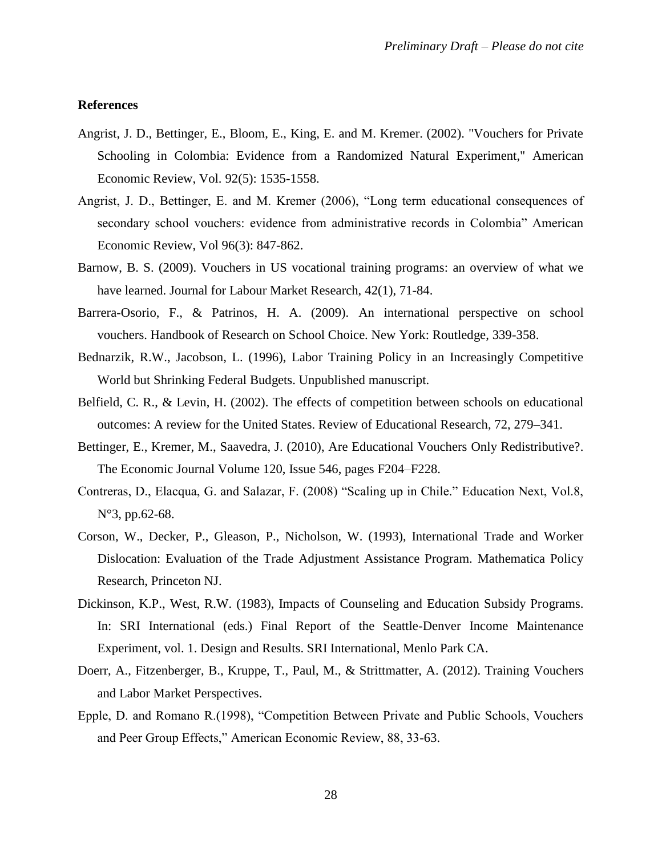#### **References**

- Angrist, J. D., Bettinger, E., Bloom, E., King, E. and M. Kremer. (2002). "Vouchers for Private Schooling in Colombia: Evidence from a Randomized Natural Experiment," American Economic Review, Vol. 92(5): 1535-1558.
- Angrist, J. D., Bettinger, E. and M. Kremer (2006), "Long term educational consequences of secondary school vouchers: evidence from administrative records in Colombia" American Economic Review, Vol 96(3): 847-862.
- Barnow, B. S. (2009). Vouchers in US vocational training programs: an overview of what we have learned. Journal for Labour Market Research, 42(1), 71-84.
- Barrera-Osorio, F., & Patrinos, H. A. (2009). An international perspective on school vouchers. Handbook of Research on School Choice. New York: Routledge, 339-358.
- Bednarzik, R.W., Jacobson, L. (1996), Labor Training Policy in an Increasingly Competitive World but Shrinking Federal Budgets. Unpublished manuscript.
- Belfield, C. R., & Levin, H. (2002). The effects of competition between schools on educational outcomes: A review for the United States. Review of Educational Research, 72, 279–341.
- Bettinger, E., Kremer, M., Saavedra, J. (2010), Are Educational Vouchers Only Redistributive?. The Economic Journal [Volume 120,](http://onlinelibrary.wiley.com/doi/10.1111/ecoj.2010.120.issue-546/issuetoc) Issue 546, pages F204–F228.
- Contreras, D., Elacqua, G. and Salazar, F. (2008) "Scaling up in Chile." Education Next, Vol.8, N°3, pp.62-68.
- Corson, W., Decker, P., Gleason, P., Nicholson, W. (1993), International Trade and Worker Dislocation: Evaluation of the Trade Adjustment Assistance Program. Mathematica Policy Research, Princeton NJ.
- Dickinson, K.P., West, R.W. (1983), Impacts of Counseling and Education Subsidy Programs. In: SRI International (eds.) Final Report of the Seattle-Denver Income Maintenance Experiment, vol. 1. Design and Results. SRI International, Menlo Park CA.
- Doerr, A., Fitzenberger, B., Kruppe, T., Paul, M., & Strittmatter, A. (2012). Training Vouchers and Labor Market Perspectives.
- Epple, D. and Romano R.(1998), "Competition Between Private and Public Schools, Vouchers and Peer Group Effects," American Economic Review, 88, 33-63.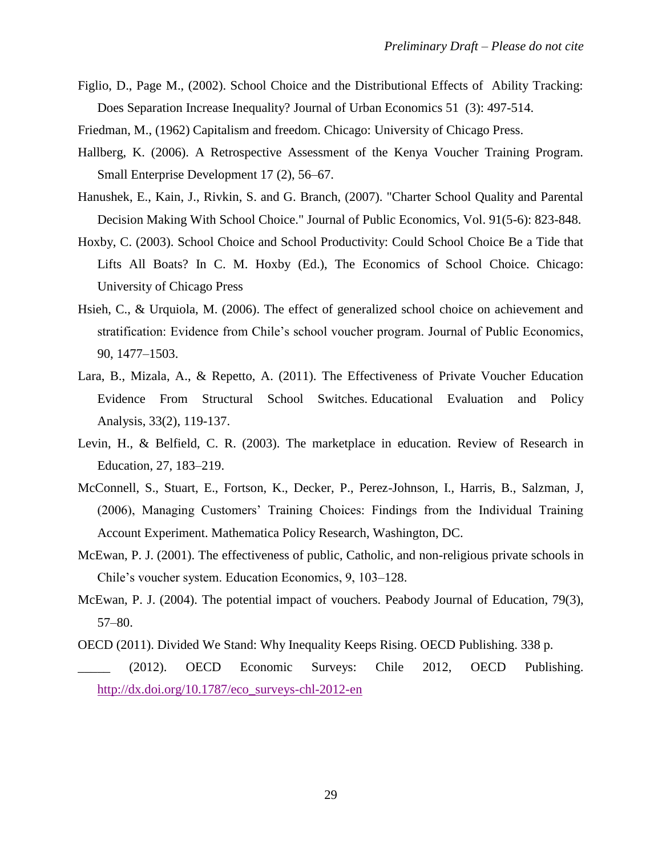- Figlio, D., Page M., (2002). School Choice and the Distributional Effects of Ability Tracking: Does Separation Increase Inequality? Journal of Urban Economics 51 (3): 497-514.
- Friedman, M., (1962) Capitalism and freedom. Chicago: University of Chicago Press.
- Hallberg, K. (2006). A Retrospective Assessment of the Kenya Voucher Training Program. Small Enterprise Development 17 (2), 56–67.
- Hanushek, E., Kain, J., Rivkin, S. and G. Branch, (2007). "Charter School Quality and Parental Decision Making With School Choice." Journal of Public Economics, Vol. 91(5-6): 823-848.
- Hoxby, C. (2003). School Choice and School Productivity: Could School Choice Be a Tide that Lifts All Boats? In C. M. Hoxby (Ed.), The Economics of School Choice. Chicago: University of Chicago Press
- Hsieh, C., & Urquiola, M. (2006). The effect of generalized school choice on achievement and stratification: Evidence from Chile's school voucher program. Journal of Public Economics, 90, 1477–1503.
- Lara, B., Mizala, A., & Repetto, A. (2011). The Effectiveness of Private Voucher Education Evidence From Structural School Switches. Educational Evaluation and Policy Analysis, 33(2), 119-137.
- Levin, H., & Belfield, C. R. (2003). The marketplace in education. Review of Research in Education, 27, 183–219.
- McConnell, S., Stuart, E., Fortson, K., Decker, P., Perez-Johnson, I., Harris, B., Salzman, J, (2006), Managing Customers' Training Choices: Findings from the Individual Training Account Experiment. Mathematica Policy Research, Washington, DC.
- McEwan, P. J. (2001). The effectiveness of public, Catholic, and non-religious private schools in Chile's voucher system. Education Economics, 9, 103–128.
- McEwan, P. J. (2004). The potential impact of vouchers. Peabody Journal of Education, 79(3), 57–80.
- OECD (2011). Divided We Stand: Why Inequality Keeps Rising. OECD Publishing. 338 p. \_\_\_\_\_ (2012). OECD Economic Surveys: Chile 2012, OECD Publishing. [http://dx.doi.org/10.1787/eco\\_surveys-chl-2012-en](http://dx.doi.org/10.1787/eco_surveys-chl-2012-en)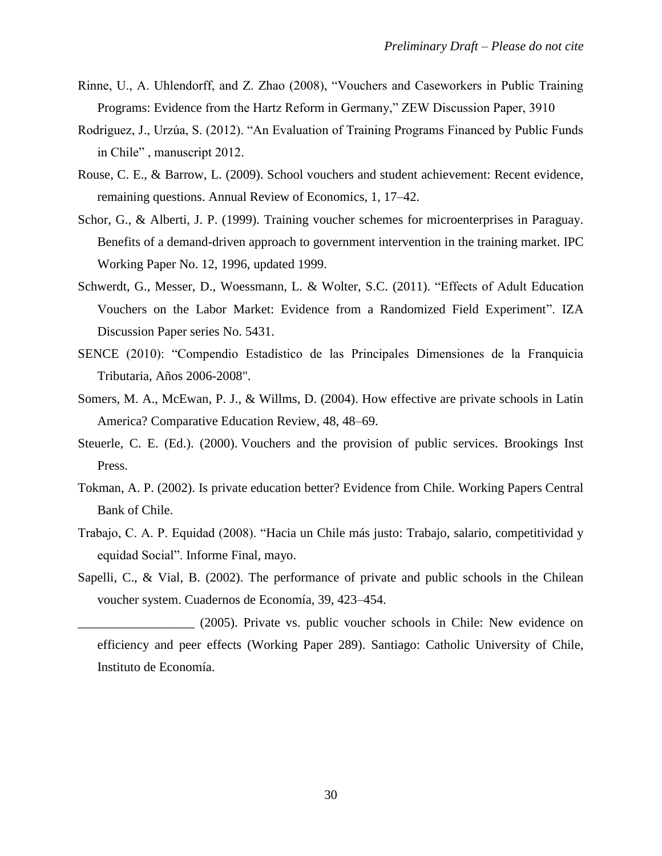- Rinne, U., A. Uhlendorff, and Z. Zhao (2008), "Vouchers and Caseworkers in Public Training Programs: Evidence from the Hartz Reform in Germany," ZEW Discussion Paper, 3910
- Rodriguez, J., Urzúa, S. (2012). "An Evaluation of Training Programs Financed by Public Funds in Chile" , manuscript 2012.
- Rouse, C. E., & Barrow, L. (2009). School vouchers and student achievement: Recent evidence, remaining questions. Annual Review of Economics, 1, 17–42.
- Schor, G., & Alberti, J. P. (1999). Training voucher schemes for microenterprises in Paraguay. Benefits of a demand-driven approach to government intervention in the training market. IPC Working Paper No. 12, 1996, updated 1999.
- Schwerdt, G., Messer, D., Woessmann, L. & Wolter, S.C. (2011). "Effects of Adult Education Vouchers on the Labor Market: Evidence from a Randomized Field Experiment". IZA Discussion Paper series No. 5431.
- SENCE (2010): "Compendio Estadístico de las Principales Dimensiones de la Franquicia Tributaria, Años 2006-2008".
- Somers, M. A., McEwan, P. J., & Willms, D. (2004). How effective are private schools in Latin America? Comparative Education Review, 48, 48–69.
- Steuerle, C. E. (Ed.). (2000). Vouchers and the provision of public services. Brookings Inst Press.
- Tokman, A. P. (2002). Is private education better? Evidence from Chile. Working Papers Central Bank of Chile.
- Trabajo, C. A. P. Equidad (2008). "Hacia un Chile más justo: Trabajo, salario, competitividad y equidad Social". Informe Final, mayo.
- Sapelli, C., & Vial, B. (2002). The performance of private and public schools in the Chilean voucher system. Cuadernos de Economía, 39, 423–454.

\_\_\_\_\_\_\_\_\_\_\_\_\_\_\_\_\_\_ (2005). Private vs. public voucher schools in Chile: New evidence on efficiency and peer effects (Working Paper 289). Santiago: Catholic University of Chile, Instituto de Economía.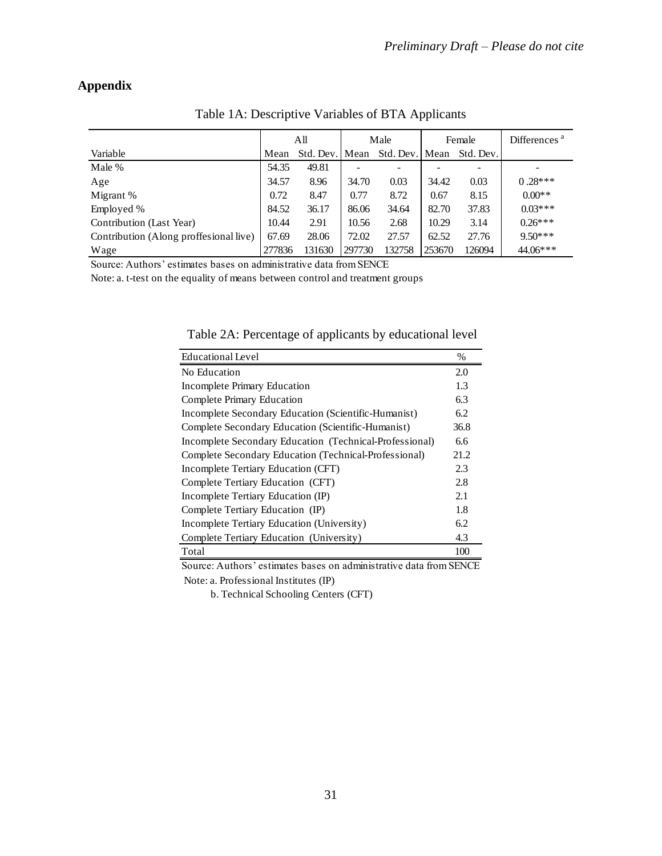# **Appendix**

|                                        |        | All            |        | Male           |        | Female    | Differences <sup>a</sup> |
|----------------------------------------|--------|----------------|--------|----------------|--------|-----------|--------------------------|
| Variable                               | Mean   | Std. Dev. Mean |        | Std. Dev. Mean |        | Std. Dev. |                          |
| Male %                                 | 54.35  | 49.81          |        |                |        |           |                          |
| Age                                    | 34.57  | 8.96           | 34.70  | 0.03           | 34.42  | 0.03      | $0.28***$                |
| Migrant %                              | 0.72   | 8.47           | 0.77   | 8.72           | 0.67   | 8.15      | $0.00**$                 |
| Employed %                             | 84.52  | 36.17          | 86.06  | 34.64          | 82.70  | 37.83     | $0.03***$                |
| Contribution (Last Year)               | 10.44  | 2.91           | 10.56  | 2.68           | 10.29  | 3.14      | $0.26***$                |
| Contribution (Along proffesional live) | 67.69  | 28.06          | 72.02  | 27.57          | 62.52  | 27.76     | $9.50***$                |
| Wage                                   | 277836 | 131630         | 297730 | 132758         | 253670 | 126094    | $44.06***$               |

Table 1A: Descriptive Variables of BTA Applicants

Source: Authors' estimates bases on administrative data from SENCE

Note: a. t-test on the equality of means between control and treatment groups

Table 2A: Percentage of applicants by educational level

| <b>Educational Level</b>                                | $\%$ |
|---------------------------------------------------------|------|
| No Education                                            | 2.0  |
| Incomplete Primary Education                            | 1.3  |
| Complete Primary Education                              | 6.3  |
| Incomplete Secondary Education (Scientific-Humanist)    | 6.2  |
| Complete Secondary Education (Scientific-Humanist)      | 36.8 |
| Incomplete Secondary Education (Technical-Professional) | 6.6  |
| Complete Secondary Education (Technical-Professional)   | 21.2 |
| Incomplete Tertiary Education (CFT)                     | 2.3  |
| Complete Tertiary Education (CFT)                       | 2.8  |
| Incomplete Tertiary Education (IP)                      | 2.1  |
| Complete Tertiary Education (IP)                        | 1.8  |
| Incomplete Tertiary Education (University)              | 6.2  |
| Complete Tertiary Education (University)                | 4.3  |
| Total                                                   | 100  |

Source: Authors' estimates bases on administrative data from SENCE Note: a. Professional Institutes (IP)

b. Technical Schooling Centers (CFT)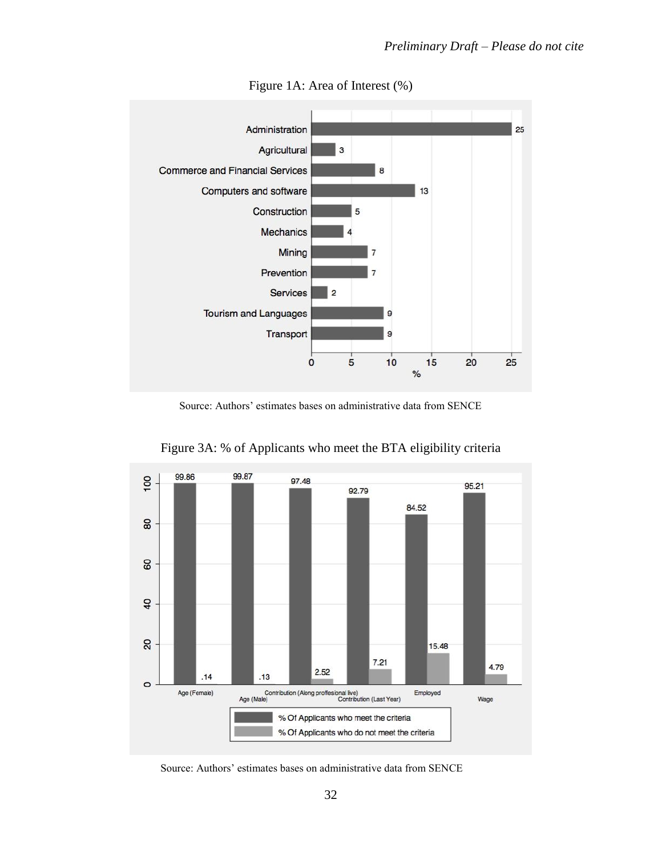

# Figure 1A: Area of Interest (%)

Source: Authors' estimates bases on administrative data from SENCE



Figure 3A: % of Applicants who meet the BTA eligibility criteria

Source: Authors' estimates bases on administrative data from SENCE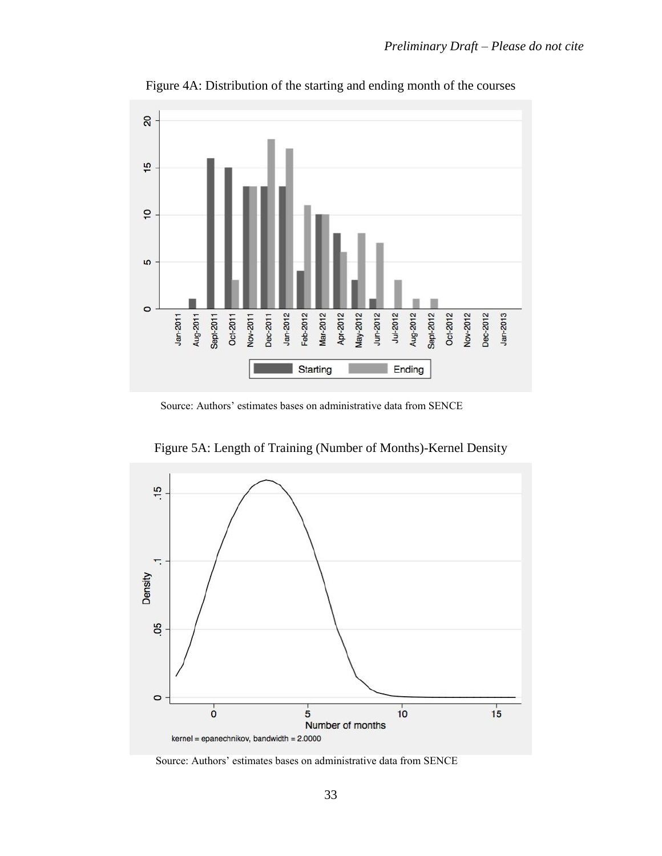

Figure 4A: Distribution of the starting and ending month of the courses

Source: Authors' estimates bases on administrative data from SENCE

Figure 5A: Length of Training (Number of Months)-Kernel Density



Source: Authors' estimates bases on administrative data from SENCE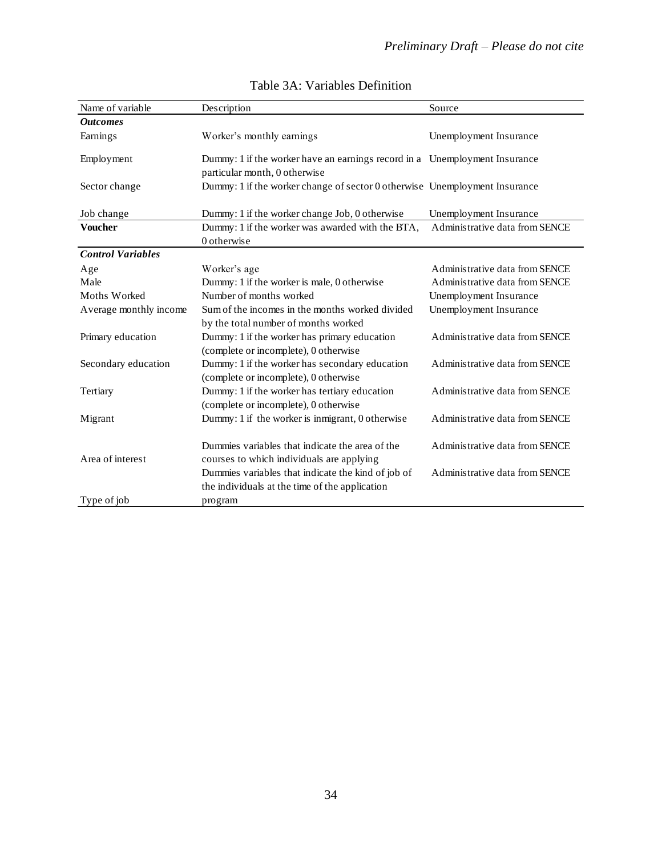| Name of variable         | Description                                                                                          | Source                         |
|--------------------------|------------------------------------------------------------------------------------------------------|--------------------------------|
| <b>Outcomes</b>          |                                                                                                      |                                |
| Earnings                 | Worker's monthly earnings                                                                            | Unemployment Insurance         |
| Employment               | Dummy: 1 if the worker have an earnings record in a Unemployment Insurance                           |                                |
|                          | particular month, 0 otherwise                                                                        |                                |
| Sector change            | Dummy: 1 if the worker change of sector 0 otherwise Unemployment Insurance                           |                                |
| Job change               | Dummy: 1 if the worker change Job, 0 otherwise                                                       | Unemployment Insurance         |
| <b>Voucher</b>           | Dummy: 1 if the worker was awarded with the BTA,                                                     | Administrative data from SENCE |
|                          | 0 otherwise                                                                                          |                                |
| <b>Control Variables</b> |                                                                                                      |                                |
| Age                      | Worker's age                                                                                         | Administrative data from SENCE |
| Male                     | Dummy: 1 if the worker is male, 0 otherwise                                                          | Administrative data from SENCE |
| Moths Worked             | Number of months worked                                                                              | Unemployment Insurance         |
| Average monthly income   | Sum of the incomes in the months worked divided<br>by the total number of months worked              | Unemployment Insurance         |
| Primary education        | Dummy: 1 if the worker has primary education<br>(complete or incomplete), 0 otherwise                | Administrative data from SENCE |
| Secondary education      | Dummy: 1 if the worker has secondary education<br>(complete or incomplete), 0 otherwise              | Administrative data from SENCE |
| Tertiary                 | Dummy: 1 if the worker has tertiary education<br>(complete or incomplete), 0 otherwise               | Administrative data from SENCE |
| Migrant                  | Dummy: 1 if the worker is inmigrant, 0 otherwise                                                     | Administrative data from SENCE |
| Area of interest         | Dummies variables that indicate the area of the<br>courses to which individuals are applying         | Administrative data from SENCE |
|                          | Dummies variables that indicate the kind of job of<br>the individuals at the time of the application | Administrative data from SENCE |
| Type of job              | program                                                                                              |                                |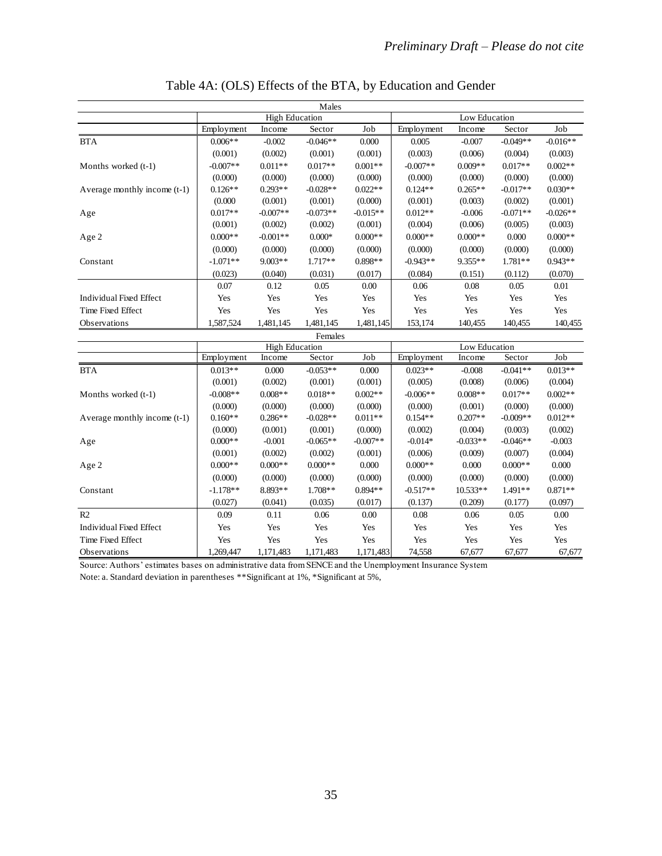| Males                          |                       |            |            |            |               |            |            |            |
|--------------------------------|-----------------------|------------|------------|------------|---------------|------------|------------|------------|
|                                | <b>High Education</b> |            |            |            | Low Education |            |            |            |
|                                | Employment            | Income     | Sector     | Job        | Employment    | Income     | Sector     | Job        |
| <b>BTA</b>                     | $0.006**$             | $-0.002$   | $-0.046**$ | 0.000      | 0.005         | $-0.007$   | $-0.049**$ | $-0.016**$ |
|                                | (0.001)               | (0.002)    | (0.001)    | (0.001)    | (0.003)       | (0.006)    | (0.004)    | (0.003)    |
| Months worked (t-1)            | $-0.007**$            | $0.011**$  | $0.017**$  | $0.001**$  | $-0.007**$    | $0.009**$  | $0.017**$  | $0.002**$  |
|                                | (0.000)               | (0.000)    | (0.000)    | (0.000)    | (0.000)       | (0.000)    | (0.000)    | (0.000)    |
| Average monthly income (t-1)   | $0.126**$             | $0.293**$  | $-0.028**$ | $0.022**$  | $0.124**$     | $0.265**$  | $-0.017**$ | $0.030**$  |
|                                | (0.000)               | (0.001)    | (0.001)    | (0.000)    | (0.001)       | (0.003)    | (0.002)    | (0.001)    |
| Age                            | $0.017**$             | $-0.007**$ | $-0.073**$ | $-0.015**$ | $0.012**$     | $-0.006$   | $-0.071**$ | $-0.026**$ |
|                                | (0.001)               | (0.002)    | (0.002)    | (0.001)    | (0.004)       | (0.006)    | (0.005)    | (0.003)    |
| Age 2                          | $0.000**$             | $-0.001**$ | $0.000*$   | $0.000**$  | $0.000**$     | $0.000**$  | 0.000      | $0.000**$  |
|                                | (0.000)               | (0.000)    | (0.000)    | (0.000)    | (0.000)       | (0.000)    | (0.000)    | (0.000)    |
| Constant                       | $-1.071**$            | $9.003**$  | $1.717**$  | $0.898**$  | $-0.943**$    | 9.355**    | 1.781**    | $0.943**$  |
|                                | (0.023)               | (0.040)    | (0.031)    | (0.017)    | (0.084)       | (0.151)    | (0.112)    | (0.070)    |
|                                | 0.07                  | 0.12       | 0.05       | 0.00       | 0.06          | 0.08       | 0.05       | 0.01       |
| <b>Individual Fixed Effect</b> | Yes                   | Yes        | Yes        | Yes        | Yes           | Yes        | Yes        | Yes        |
| Time Fixed Effect              | Yes                   | Yes        | Yes        | Yes        | Yes           | Yes        | Yes        | Yes        |
| Observations                   | 1,587,524             | 1,481,145  | 1,481,145  | 1,481,145  | 153,174       | 140,455    | 140,455    | 140,455    |
|                                |                       |            | Females    |            |               |            |            |            |
|                                | <b>High Education</b> |            |            |            | Low Education |            |            |            |
|                                | Employment            | Income     | Sector     | Job        | Employment    | Income     | Sector     | Job        |
| <b>BTA</b>                     | $0.013**$             | 0.000      | $-0.053**$ | 0.000      | $0.023**$     | $-0.008$   | $-0.041**$ | $0.013**$  |
|                                | (0.001)               | (0.002)    | (0.001)    | (0.001)    | (0.005)       | (0.008)    | (0.006)    | (0.004)    |
| Months worked (t-1)            | $-0.008**$            | $0.008**$  | $0.018**$  | $0.002**$  | $-0.006**$    | $0.008**$  | $0.017**$  | $0.002**$  |
|                                | (0.000)               | (0.000)    | (0.000)    | (0.000)    | (0.000)       | (0.001)    | (0.000)    | (0.000)    |
| Average monthly income (t-1)   | $0.160**$             | $0.286**$  | $-0.028**$ | $0.011**$  | $0.154**$     | $0.207**$  | $-0.009**$ | $0.012**$  |
|                                | (0.000)               | (0.001)    | (0.001)    | (0.000)    | (0.002)       | (0.004)    | (0.003)    | (0.002)    |
| Age                            | $0.000**$             | $-0.001$   | $-0.065**$ | $-0.007**$ | $-0.014*$     | $-0.033**$ | $-0.046**$ | $-0.003$   |
|                                | (0.001)               | (0.002)    | (0.002)    | (0.001)    | (0.006)       | (0.009)    | (0.007)    | (0.004)    |
| Age 2                          | $0.000**$             | $0.000**$  | $0.000**$  | 0.000      | $0.000**$     | 0.000      | $0.000**$  | 0.000      |
|                                | (0.000)               | (0.000)    | (0.000)    | (0.000)    | (0.000)       | (0.000)    | (0.000)    | (0.000)    |
| Constant                       | $-1.178**$            | 8.893**    | 1.708**    | $0.894**$  | $-0.517**$    | $10.533**$ | 1.491**    | $0.871**$  |
|                                | (0.027)               | (0.041)    | (0.035)    | (0.017)    | (0.137)       | (0.209)    | (0.177)    | (0.097)    |
| R2                             | 0.09                  | 0.11       | 0.06       | 0.00       | 0.08          | 0.06       | 0.05       | 0.00       |
| <b>Individual Fixed Effect</b> | Yes                   | Yes        | Yes        | Yes        | Yes           | Yes        | Yes        | Yes        |
| Time Fixed Effect              | Yes                   |            |            | Yes        | Yes           | Yes        | Yes        | Yes        |
|                                |                       | Yes        | Yes        |            |               |            |            |            |

Table 4A: (OLS) Effects of the BTA, by Education and Gender

Source: Authors' estimates bases on administrative data from SENCE and the Unemployment Insurance System

Note: a. Standard deviation in parentheses \*\*Significant at 1%, \*Significant at 5%,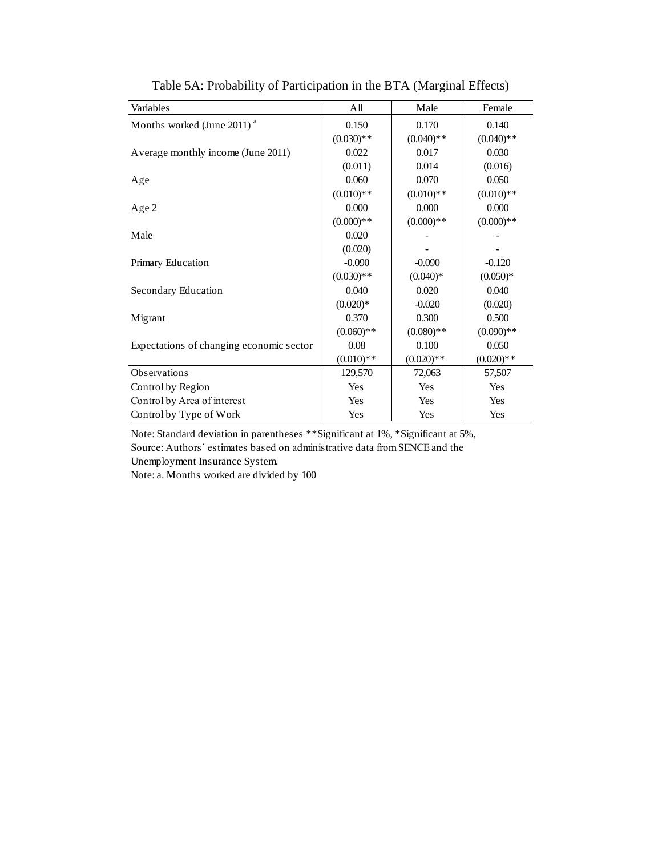| Variables                                | All          | Male         | Female       |
|------------------------------------------|--------------|--------------|--------------|
| Months worked (June 2011) <sup>a</sup>   | 0.150        | 0.170        | 0.140        |
|                                          | $(0.030)**$  | $(0.040)$ ** | $(0.040)$ ** |
| Average monthly income (June 2011)       | 0.022        | 0.017        | 0.030        |
|                                          | (0.011)      | 0.014        | (0.016)      |
| Age                                      | 0.060        | 0.070        | 0.050        |
|                                          | $(0.010)**$  | $(0.010)**$  | $(0.010)**$  |
| Age 2                                    | 0.000        | 0.000        | 0.000        |
|                                          | $(0.000)**$  | $(0.000)**$  | $(0.000)**$  |
| Male                                     | 0.020        |              |              |
|                                          | (0.020)      |              |              |
| Primary Education                        | $-0.090$     | $-0.090$     | $-0.120$     |
|                                          | $(0.030)**$  | $(0.040)*$   | $(0.050)*$   |
| Secondary Education                      | 0.040        | 0.020        | 0.040        |
|                                          | $(0.020)*$   | $-0.020$     | (0.020)      |
| Migrant                                  | 0.370        | 0.300        | 0.500        |
|                                          | $(0.060)$ ** | $(0.080)$ ** | $(0.090)**$  |
| Expectations of changing economic sector | 0.08         | 0.100        | 0.050        |
|                                          | $(0.010)**$  | $(0.020)**$  | $(0.020)**$  |
| Observations                             | 129,570      | 72,063       | 57,507       |
| Control by Region                        | Yes          | Yes          | Yes          |
| Control by Area of interest              | Yes          | Yes          | Yes          |
| Control by Type of Work                  | Yes          | Yes          | Yes          |

Table 5A: Probability of Participation in the BTA (Marginal Effects)

Note: Standard deviation in parentheses \*\*Significant at 1%, \*Significant at 5%, Source: Authors' estimates based on administrative data from SENCE and the Unemployment Insurance System.

Note: a. Months worked are divided by 100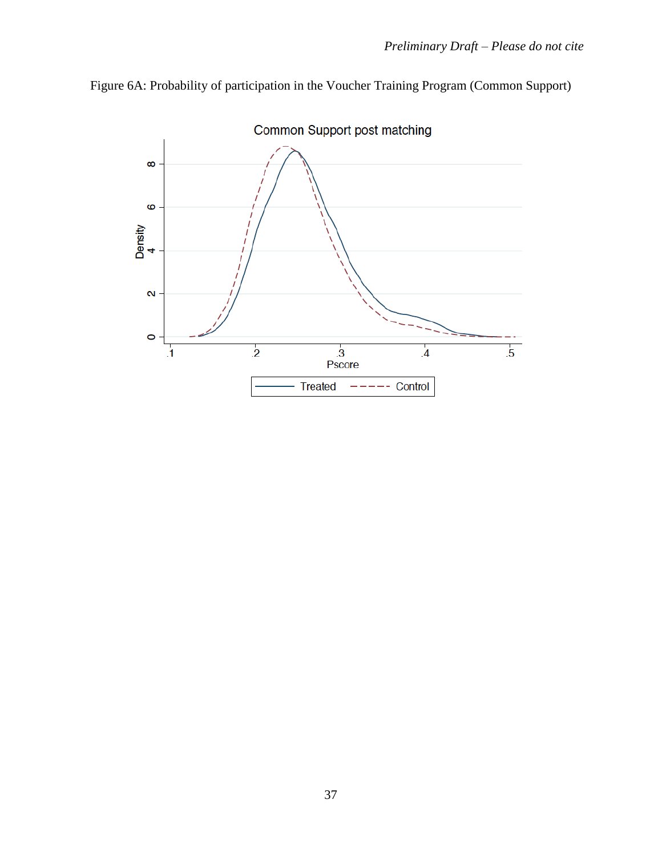

Figure 6A: Probability of participation in the Voucher Training Program (Common Support)